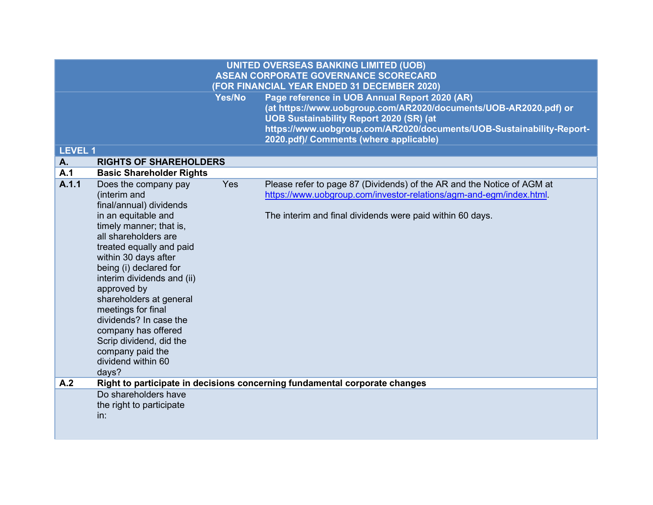|                |                                                                                                                                                                                                                                                                                                                                                                                                                                                      |        | <b>UNITED OVERSEAS BANKING LIMITED (UOB)</b><br><b>ASEAN CORPORATE GOVERNANCE SCORECARD</b><br>(FOR FINANCIAL YEAR ENDED 31 DECEMBER 2020)                                                                                                                                            |
|----------------|------------------------------------------------------------------------------------------------------------------------------------------------------------------------------------------------------------------------------------------------------------------------------------------------------------------------------------------------------------------------------------------------------------------------------------------------------|--------|---------------------------------------------------------------------------------------------------------------------------------------------------------------------------------------------------------------------------------------------------------------------------------------|
|                |                                                                                                                                                                                                                                                                                                                                                                                                                                                      | Yes/No | Page reference in UOB Annual Report 2020 (AR)<br>(at https://www.uobgroup.com/AR2020/documents/UOB-AR2020.pdf) or<br><b>UOB Sustainability Report 2020 (SR) (at</b><br>https://www.uobgroup.com/AR2020/documents/UOB-Sustainability-Report-<br>2020.pdf)/ Comments (where applicable) |
| <b>LEVEL 1</b> |                                                                                                                                                                                                                                                                                                                                                                                                                                                      |        |                                                                                                                                                                                                                                                                                       |
| А.             | <b>RIGHTS OF SHAREHOLDERS</b>                                                                                                                                                                                                                                                                                                                                                                                                                        |        |                                                                                                                                                                                                                                                                                       |
| A.1            | <b>Basic Shareholder Rights</b>                                                                                                                                                                                                                                                                                                                                                                                                                      |        |                                                                                                                                                                                                                                                                                       |
| A.1.1          | Does the company pay<br>(interim and<br>final/annual) dividends<br>in an equitable and<br>timely manner; that is,<br>all shareholders are<br>treated equally and paid<br>within 30 days after<br>being (i) declared for<br>interim dividends and (ii)<br>approved by<br>shareholders at general<br>meetings for final<br>dividends? In case the<br>company has offered<br>Scrip dividend, did the<br>company paid the<br>dividend within 60<br>days? | Yes    | Please refer to page 87 (Dividends) of the AR and the Notice of AGM at<br>https://www.uobgroup.com/investor-relations/agm-and-egm/index.html.<br>The interim and final dividends were paid within 60 days.                                                                            |
| A.2            |                                                                                                                                                                                                                                                                                                                                                                                                                                                      |        | Right to participate in decisions concerning fundamental corporate changes                                                                                                                                                                                                            |
|                | Do shareholders have<br>the right to participate<br>in:                                                                                                                                                                                                                                                                                                                                                                                              |        |                                                                                                                                                                                                                                                                                       |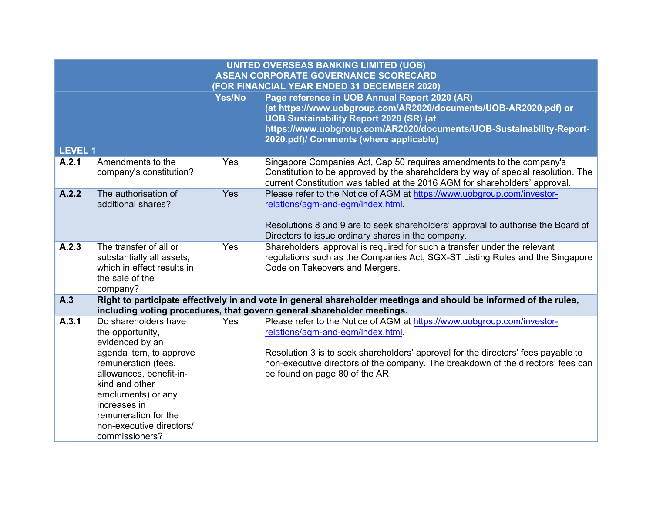|                    |                                                                                                                                                                                                                          |            | <b>UNITED OVERSEAS BANKING LIMITED (UOB)</b>                                                                                                                                                                                                                                                                           |
|--------------------|--------------------------------------------------------------------------------------------------------------------------------------------------------------------------------------------------------------------------|------------|------------------------------------------------------------------------------------------------------------------------------------------------------------------------------------------------------------------------------------------------------------------------------------------------------------------------|
|                    |                                                                                                                                                                                                                          |            | <b>ASEAN CORPORATE GOVERNANCE SCORECARD</b>                                                                                                                                                                                                                                                                            |
|                    |                                                                                                                                                                                                                          |            | (FOR FINANCIAL YEAR ENDED 31 DECEMBER 2020)                                                                                                                                                                                                                                                                            |
|                    |                                                                                                                                                                                                                          | Yes/No     | Page reference in UOB Annual Report 2020 (AR)<br>(at https://www.uobgroup.com/AR2020/documents/UOB-AR2020.pdf) or<br><b>UOB Sustainability Report 2020 (SR) (at</b><br>https://www.uobgroup.com/AR2020/documents/UOB-Sustainability-Report-<br>2020.pdf)/ Comments (where applicable)                                  |
| LEVEL <sub>1</sub> |                                                                                                                                                                                                                          |            |                                                                                                                                                                                                                                                                                                                        |
| A.2.1              | Amendments to the<br>company's constitution?                                                                                                                                                                             | Yes        | Singapore Companies Act, Cap 50 requires amendments to the company's<br>Constitution to be approved by the shareholders by way of special resolution. The<br>current Constitution was tabled at the 2016 AGM for shareholders' approval.                                                                               |
| A.2.2              | The authorisation of<br>additional shares?                                                                                                                                                                               | Yes        | Please refer to the Notice of AGM at https://www.uobgroup.com/investor-<br>relations/agm-and-egm/index.html.                                                                                                                                                                                                           |
|                    |                                                                                                                                                                                                                          |            | Resolutions 8 and 9 are to seek shareholders' approval to authorise the Board of<br>Directors to issue ordinary shares in the company.                                                                                                                                                                                 |
| A.2.3              | The transfer of all or<br>substantially all assets,<br>which in effect results in<br>the sale of the<br>company?                                                                                                         | Yes        | Shareholders' approval is required for such a transfer under the relevant<br>regulations such as the Companies Act, SGX-ST Listing Rules and the Singapore<br>Code on Takeovers and Mergers.                                                                                                                           |
| A.3                |                                                                                                                                                                                                                          |            | Right to participate effectively in and vote in general shareholder meetings and should be informed of the rules,<br>including voting procedures, that govern general shareholder meetings.                                                                                                                            |
| A.3.1              | Do shareholders have<br>the opportunity,<br>evidenced by an<br>agenda item, to approve<br>remuneration (fees,<br>allowances, benefit-in-<br>kind and other<br>emoluments) or any<br>increases in<br>remuneration for the | <b>Yes</b> | Please refer to the Notice of AGM at https://www.uobgroup.com/investor-<br>relations/agm-and-egm/index.html<br>Resolution 3 is to seek shareholders' approval for the directors' fees payable to<br>non-executive directors of the company. The breakdown of the directors' fees can<br>be found on page 80 of the AR. |
|                    | non-executive directors/<br>commissioners?                                                                                                                                                                               |            |                                                                                                                                                                                                                                                                                                                        |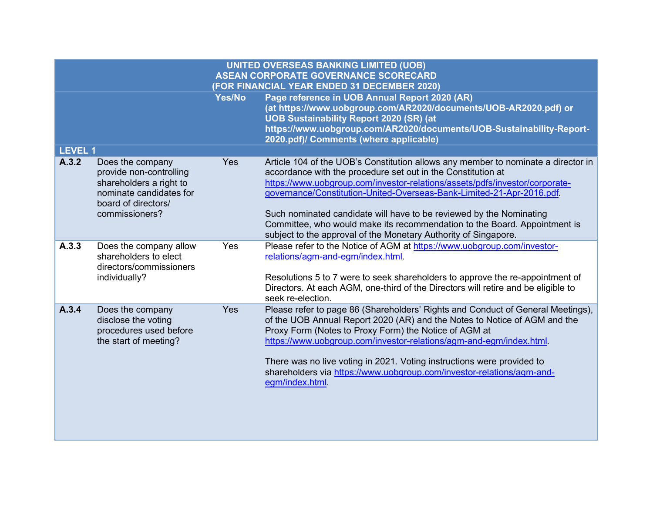|                |                                                                                                                                            |        | <b>UNITED OVERSEAS BANKING LIMITED (UOB)</b><br><b>ASEAN CORPORATE GOVERNANCE SCORECARD</b><br>(FOR FINANCIAL YEAR ENDED 31 DECEMBER 2020)                                                                                                                                                                                                                                                                                                                                                                                      |
|----------------|--------------------------------------------------------------------------------------------------------------------------------------------|--------|---------------------------------------------------------------------------------------------------------------------------------------------------------------------------------------------------------------------------------------------------------------------------------------------------------------------------------------------------------------------------------------------------------------------------------------------------------------------------------------------------------------------------------|
|                |                                                                                                                                            | Yes/No | Page reference in UOB Annual Report 2020 (AR)<br>(at https://www.uobgroup.com/AR2020/documents/UOB-AR2020.pdf) or<br><b>UOB Sustainability Report 2020 (SR) (at</b><br>https://www.uobgroup.com/AR2020/documents/UOB-Sustainability-Report-<br>2020.pdf)/ Comments (where applicable)                                                                                                                                                                                                                                           |
| <b>LEVEL 1</b> |                                                                                                                                            |        |                                                                                                                                                                                                                                                                                                                                                                                                                                                                                                                                 |
| A.3.2          | Does the company<br>provide non-controlling<br>shareholders a right to<br>nominate candidates for<br>board of directors/<br>commissioners? | Yes    | Article 104 of the UOB's Constitution allows any member to nominate a director in<br>accordance with the procedure set out in the Constitution at<br>https://www.uobgroup.com/investor-relations/assets/pdfs/investor/corporate-<br>governance/Constitution-United-Overseas-Bank-Limited-21-Apr-2016.pdf<br>Such nominated candidate will have to be reviewed by the Nominating<br>Committee, who would make its recommendation to the Board. Appointment is<br>subject to the approval of the Monetary Authority of Singapore. |
| A.3.3          | Does the company allow<br>shareholders to elect<br>directors/commissioners<br>individually?                                                | Yes    | Please refer to the Notice of AGM at https://www.uobgroup.com/investor-<br>relations/agm-and-egm/index.html<br>Resolutions 5 to 7 were to seek shareholders to approve the re-appointment of<br>Directors. At each AGM, one-third of the Directors will retire and be eligible to<br>seek re-election.                                                                                                                                                                                                                          |
| A.3.4          | Does the company<br>disclose the voting<br>procedures used before<br>the start of meeting?                                                 | Yes    | Please refer to page 86 (Shareholders' Rights and Conduct of General Meetings),<br>of the UOB Annual Report 2020 (AR) and the Notes to Notice of AGM and the<br>Proxy Form (Notes to Proxy Form) the Notice of AGM at<br>https://www.uobgroup.com/investor-relations/agm-and-egm/index.html.<br>There was no live voting in 2021. Voting instructions were provided to<br>shareholders via https://www.uobgroup.com/investor-relations/agm-and-<br>egm/index.html                                                               |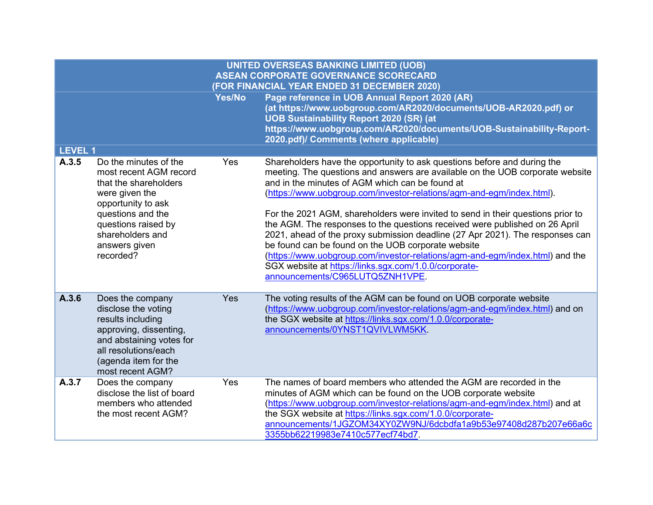|                |                                                                                                                                                                                                                |        | <b>UNITED OVERSEAS BANKING LIMITED (UOB)</b><br><b>ASEAN CORPORATE GOVERNANCE SCORECARD</b>                                                                                                                                                                                                                                                                                                                                                                                                                                                                                                                                                                                                                                                                                |
|----------------|----------------------------------------------------------------------------------------------------------------------------------------------------------------------------------------------------------------|--------|----------------------------------------------------------------------------------------------------------------------------------------------------------------------------------------------------------------------------------------------------------------------------------------------------------------------------------------------------------------------------------------------------------------------------------------------------------------------------------------------------------------------------------------------------------------------------------------------------------------------------------------------------------------------------------------------------------------------------------------------------------------------------|
|                |                                                                                                                                                                                                                |        | (FOR FINANCIAL YEAR ENDED 31 DECEMBER 2020)                                                                                                                                                                                                                                                                                                                                                                                                                                                                                                                                                                                                                                                                                                                                |
|                |                                                                                                                                                                                                                | Yes/No | Page reference in UOB Annual Report 2020 (AR)<br>(at https://www.uobgroup.com/AR2020/documents/UOB-AR2020.pdf) or<br><b>UOB Sustainability Report 2020 (SR) (at</b><br>https://www.uobgroup.com/AR2020/documents/UOB-Sustainability-Report-<br>2020.pdf)/ Comments (where applicable)                                                                                                                                                                                                                                                                                                                                                                                                                                                                                      |
| <b>LEVEL 1</b> |                                                                                                                                                                                                                |        |                                                                                                                                                                                                                                                                                                                                                                                                                                                                                                                                                                                                                                                                                                                                                                            |
| A.3.5          | Do the minutes of the<br>most recent AGM record<br>that the shareholders<br>were given the<br>opportunity to ask<br>questions and the<br>questions raised by<br>shareholders and<br>answers given<br>recorded? | Yes    | Shareholders have the opportunity to ask questions before and during the<br>meeting. The questions and answers are available on the UOB corporate website<br>and in the minutes of AGM which can be found at<br>(https://www.uobgroup.com/investor-relations/agm-and-egm/index.html).<br>For the 2021 AGM, shareholders were invited to send in their questions prior to<br>the AGM. The responses to the questions received were published on 26 April<br>2021, ahead of the proxy submission deadline (27 Apr 2021). The responses can<br>be found can be found on the UOB corporate website<br>(https://www.uobgroup.com/investor-relations/agm-and-egm/index.html) and the<br>SGX website at https://links.sgx.com/1.0.0/corporate-<br>announcements/C965LUTQ5ZNH1VPE. |
| A.3.6          | Does the company<br>disclose the voting<br>results including<br>approving, dissenting,<br>and abstaining votes for<br>all resolutions/each<br>(agenda item for the<br>most recent AGM?                         | Yes    | The voting results of the AGM can be found on UOB corporate website<br>(https://www.uobgroup.com/investor-relations/agm-and-egm/index.html) and on<br>the SGX website at https://links.sgx.com/1.0.0/corporate-<br>announcements/0YNST1QVIVLWM5KK.                                                                                                                                                                                                                                                                                                                                                                                                                                                                                                                         |
| A.3.7          | Does the company<br>disclose the list of board<br>members who attended<br>the most recent AGM?                                                                                                                 | Yes    | The names of board members who attended the AGM are recorded in the<br>minutes of AGM which can be found on the UOB corporate website<br>(https://www.uobgroup.com/investor-relations/agm-and-egm/index.html) and at<br>the SGX website at https://links.sgx.com/1.0.0/corporate-<br>announcements/1JGZOM34XY0ZW9NJ/6dcbdfa1a9b53e97408d287b207e66a6c<br>3355bb62219983e7410c577ecf74bd7.                                                                                                                                                                                                                                                                                                                                                                                  |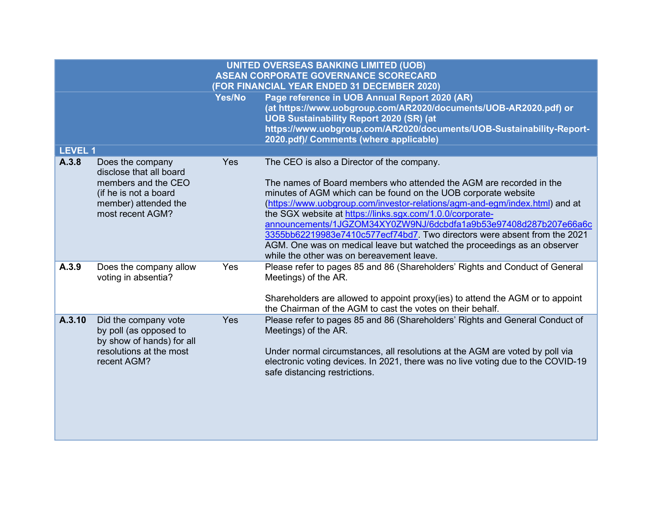|                |                                                                                                                                         |        | <b>UNITED OVERSEAS BANKING LIMITED (UOB)</b><br><b>ASEAN CORPORATE GOVERNANCE SCORECARD</b><br>(FOR FINANCIAL YEAR ENDED 31 DECEMBER 2020)                                                                                                                                                                                                                                                                                                                                                                                                                                                               |
|----------------|-----------------------------------------------------------------------------------------------------------------------------------------|--------|----------------------------------------------------------------------------------------------------------------------------------------------------------------------------------------------------------------------------------------------------------------------------------------------------------------------------------------------------------------------------------------------------------------------------------------------------------------------------------------------------------------------------------------------------------------------------------------------------------|
|                |                                                                                                                                         | Yes/No | Page reference in UOB Annual Report 2020 (AR)<br>(at https://www.uobgroup.com/AR2020/documents/UOB-AR2020.pdf) or<br>UOB Sustainability Report 2020 (SR) (at<br>https://www.uobgroup.com/AR2020/documents/UOB-Sustainability-Report-<br>2020.pdf)/ Comments (where applicable)                                                                                                                                                                                                                                                                                                                           |
| <b>LEVEL 1</b> |                                                                                                                                         |        |                                                                                                                                                                                                                                                                                                                                                                                                                                                                                                                                                                                                          |
| A.3.8          | Does the company<br>disclose that all board<br>members and the CEO<br>(if he is not a board<br>member) attended the<br>most recent AGM? | Yes    | The CEO is also a Director of the company.<br>The names of Board members who attended the AGM are recorded in the<br>minutes of AGM which can be found on the UOB corporate website<br>(https://www.uobgroup.com/investor-relations/agm-and-egm/index.html) and at<br>the SGX website at https://links.sgx.com/1.0.0/corporate-<br>announcements/1JGZOM34XY0ZW9NJ/6dcbdfa1a9b53e97408d287b207e66a6c<br>3355bb62219983e7410c577ecf74bd7. Two directors were absent from the 2021<br>AGM. One was on medical leave but watched the proceedings as an observer<br>while the other was on bereavement leave. |
| A.3.9          | Does the company allow<br>voting in absentia?                                                                                           | Yes    | Please refer to pages 85 and 86 (Shareholders' Rights and Conduct of General<br>Meetings) of the AR.<br>Shareholders are allowed to appoint proxy(ies) to attend the AGM or to appoint<br>the Chairman of the AGM to cast the votes on their behalf.                                                                                                                                                                                                                                                                                                                                                     |
| A.3.10         | Did the company vote<br>by poll (as opposed to<br>by show of hands) for all<br>resolutions at the most<br>recent AGM?                   | Yes    | Please refer to pages 85 and 86 (Shareholders' Rights and General Conduct of<br>Meetings) of the AR.<br>Under normal circumstances, all resolutions at the AGM are voted by poll via<br>electronic voting devices. In 2021, there was no live voting due to the COVID-19<br>safe distancing restrictions.                                                                                                                                                                                                                                                                                                |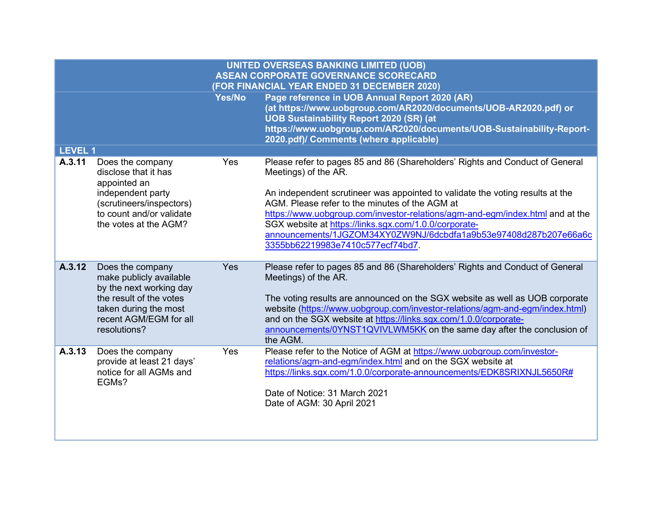|                |                                                                                                                                                                      |        | <b>UNITED OVERSEAS BANKING LIMITED (UOB)</b><br><b>ASEAN CORPORATE GOVERNANCE SCORECARD</b><br>(FOR FINANCIAL YEAR ENDED 31 DECEMBER 2020)                                                                                                                                                                                                                                                                                                                                               |
|----------------|----------------------------------------------------------------------------------------------------------------------------------------------------------------------|--------|------------------------------------------------------------------------------------------------------------------------------------------------------------------------------------------------------------------------------------------------------------------------------------------------------------------------------------------------------------------------------------------------------------------------------------------------------------------------------------------|
|                |                                                                                                                                                                      | Yes/No | Page reference in UOB Annual Report 2020 (AR)<br>(at https://www.uobgroup.com/AR2020/documents/UOB-AR2020.pdf) or<br><b>UOB Sustainability Report 2020 (SR) (at</b><br>https://www.uobgroup.com/AR2020/documents/UOB-Sustainability-Report-<br>2020.pdf)/ Comments (where applicable)                                                                                                                                                                                                    |
| <b>LEVEL 1</b> |                                                                                                                                                                      |        |                                                                                                                                                                                                                                                                                                                                                                                                                                                                                          |
| A.3.11         | Does the company<br>disclose that it has<br>appointed an<br>independent party<br>(scrutineers/inspectors)<br>to count and/or validate<br>the votes at the AGM?       | Yes    | Please refer to pages 85 and 86 (Shareholders' Rights and Conduct of General<br>Meetings) of the AR.<br>An independent scrutineer was appointed to validate the voting results at the<br>AGM. Please refer to the minutes of the AGM at<br>https://www.uobgroup.com/investor-relations/agm-and-egm/index.html and at the<br>SGX website at https://links.sgx.com/1.0.0/corporate-<br>announcements/1JGZOM34XY0ZW9NJ/6dcbdfa1a9b53e97408d287b207e66a6c<br>3355bb62219983e7410c577ecf74bd7 |
| A.3.12         | Does the company<br>make publicly available<br>by the next working day<br>the result of the votes<br>taken during the most<br>recent AGM/EGM for all<br>resolutions? | Yes    | Please refer to pages 85 and 86 (Shareholders' Rights and Conduct of General<br>Meetings) of the AR.<br>The voting results are announced on the SGX website as well as UOB corporate<br>website (https://www.uobgroup.com/investor-relations/agm-and-egm/index.html)<br>and on the SGX website at https://links.sgx.com/1.0.0/corporate-<br>announcements/0YNST1QVIVLWM5KK on the same day after the conclusion of<br>the AGM.                                                           |
| A.3.13         | Does the company<br>provide at least 21 days'<br>notice for all AGMs and<br>EGMs?                                                                                    | Yes    | Please refer to the Notice of AGM at https://www.uobgroup.com/investor-<br>relations/agm-and-egm/index.html and on the SGX website at<br>https://links.sgx.com/1.0.0/corporate-announcements/EDK8SRIXNJL5650R#<br>Date of Notice: 31 March 2021<br>Date of AGM: 30 April 2021                                                                                                                                                                                                            |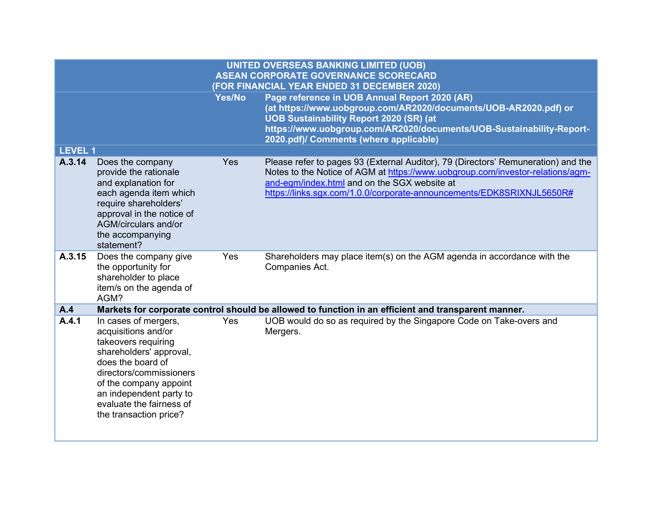|                |                                              |        | <b>UNITED OVERSEAS BANKING LIMITED (UOB)</b>                                                                   |
|----------------|----------------------------------------------|--------|----------------------------------------------------------------------------------------------------------------|
|                |                                              |        | <b>ASEAN CORPORATE GOVERNANCE SCORECARD</b>                                                                    |
|                |                                              |        | (FOR FINANCIAL YEAR ENDED 31 DECEMBER 2020)                                                                    |
|                |                                              | Yes/No | Page reference in UOB Annual Report 2020 (AR)                                                                  |
|                |                                              |        | (at https://www.uobgroup.com/AR2020/documents/UOB-AR2020.pdf) or                                               |
|                |                                              |        | <b>UOB Sustainability Report 2020 (SR) (at</b>                                                                 |
|                |                                              |        | https://www.uobgroup.com/AR2020/documents/UOB-Sustainability-Report-<br>2020.pdf)/ Comments (where applicable) |
| <b>LEVEL 1</b> |                                              |        |                                                                                                                |
| A.3.14         | Does the company                             | Yes    | Please refer to pages 93 (External Auditor), 79 (Directors' Remuneration) and the                              |
|                | provide the rationale                        |        | Notes to the Notice of AGM at https://www.uobgroup.com/investor-relations/agm-                                 |
|                | and explanation for                          |        | and-egm/index.html and on the SGX website at                                                                   |
|                | each agenda item which                       |        | https://links.sgx.com/1.0.0/corporate-announcements/EDK8SRIXNJL5650R#                                          |
|                | require shareholders'                        |        |                                                                                                                |
|                | approval in the notice of                    |        |                                                                                                                |
|                | AGM/circulars and/or                         |        |                                                                                                                |
|                | the accompanying<br>statement?               |        |                                                                                                                |
| A.3.15         | Does the company give                        | Yes    | Shareholders may place item(s) on the AGM agenda in accordance with the                                        |
|                | the opportunity for                          |        | Companies Act.                                                                                                 |
|                | shareholder to place                         |        |                                                                                                                |
|                | item/s on the agenda of                      |        |                                                                                                                |
|                | AGM?                                         |        |                                                                                                                |
| A.4            |                                              |        | Markets for corporate control should be allowed to function in an efficient and transparent manner.            |
| A.4.1          | In cases of mergers,                         | Yes    | UOB would do so as required by the Singapore Code on Take-overs and                                            |
|                | acquisitions and/or                          |        | Mergers.                                                                                                       |
|                | takeovers requiring                          |        |                                                                                                                |
|                | shareholders' approval,<br>does the board of |        |                                                                                                                |
|                | directors/commissioners                      |        |                                                                                                                |
|                | of the company appoint                       |        |                                                                                                                |
|                | an independent party to                      |        |                                                                                                                |
|                | evaluate the fairness of                     |        |                                                                                                                |
|                | the transaction price?                       |        |                                                                                                                |
|                |                                              |        |                                                                                                                |
|                |                                              |        |                                                                                                                |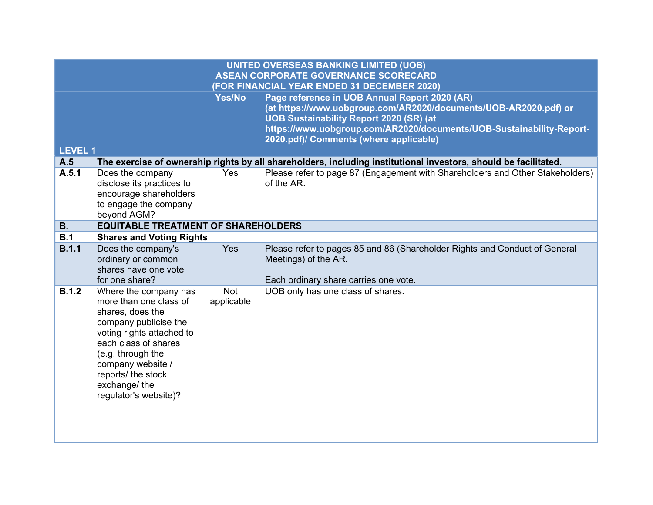|                |                                                                                                                                                                                                                                                             |                          | <b>UNITED OVERSEAS BANKING LIMITED (UOB)</b>                                                                                                                                                                                                                                          |
|----------------|-------------------------------------------------------------------------------------------------------------------------------------------------------------------------------------------------------------------------------------------------------------|--------------------------|---------------------------------------------------------------------------------------------------------------------------------------------------------------------------------------------------------------------------------------------------------------------------------------|
|                |                                                                                                                                                                                                                                                             |                          | <b>ASEAN CORPORATE GOVERNANCE SCORECARD</b>                                                                                                                                                                                                                                           |
|                |                                                                                                                                                                                                                                                             |                          | (FOR FINANCIAL YEAR ENDED 31 DECEMBER 2020)                                                                                                                                                                                                                                           |
|                |                                                                                                                                                                                                                                                             | Yes/No                   | Page reference in UOB Annual Report 2020 (AR)<br>(at https://www.uobgroup.com/AR2020/documents/UOB-AR2020.pdf) or<br><b>UOB Sustainability Report 2020 (SR) (at</b><br>https://www.uobgroup.com/AR2020/documents/UOB-Sustainability-Report-<br>2020.pdf)/ Comments (where applicable) |
| <b>LEVEL 1</b> |                                                                                                                                                                                                                                                             |                          |                                                                                                                                                                                                                                                                                       |
| A.5            |                                                                                                                                                                                                                                                             |                          | The exercise of ownership rights by all shareholders, including institutional investors, should be facilitated.                                                                                                                                                                       |
| A.5.1          | Does the company<br>disclose its practices to<br>encourage shareholders<br>to engage the company<br>beyond AGM?                                                                                                                                             | Yes                      | Please refer to page 87 (Engagement with Shareholders and Other Stakeholders)<br>of the AR.                                                                                                                                                                                           |
| <b>B.</b>      | <b>EQUITABLE TREATMENT OF SHAREHOLDERS</b>                                                                                                                                                                                                                  |                          |                                                                                                                                                                                                                                                                                       |
| B.1            | <b>Shares and Voting Rights</b>                                                                                                                                                                                                                             |                          |                                                                                                                                                                                                                                                                                       |
| <b>B.1.1</b>   | Does the company's<br>ordinary or common<br>shares have one vote                                                                                                                                                                                            | Yes                      | Please refer to pages 85 and 86 (Shareholder Rights and Conduct of General<br>Meetings) of the AR.                                                                                                                                                                                    |
|                | for one share?                                                                                                                                                                                                                                              |                          | Each ordinary share carries one vote.                                                                                                                                                                                                                                                 |
| <b>B.1.2</b>   | Where the company has<br>more than one class of<br>shares, does the<br>company publicise the<br>voting rights attached to<br>each class of shares<br>(e.g. through the<br>company website /<br>reports/ the stock<br>exchange/ the<br>regulator's website)? | <b>Not</b><br>applicable | UOB only has one class of shares.                                                                                                                                                                                                                                                     |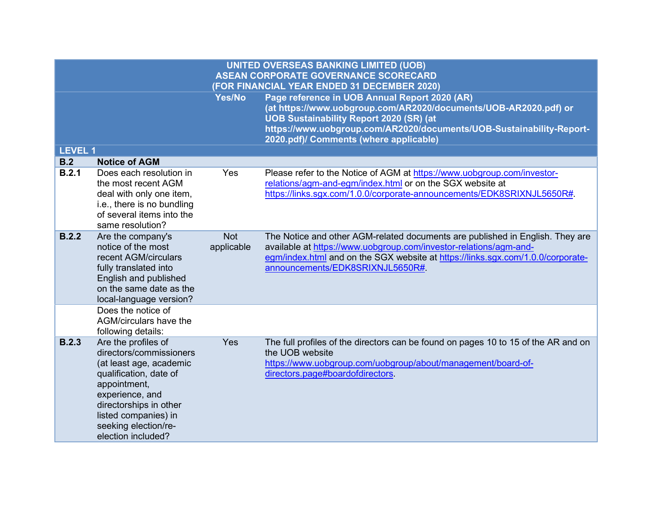|                |                                                                                                                                                                                                                                        |                          | <b>UNITED OVERSEAS BANKING LIMITED (UOB)</b><br><b>ASEAN CORPORATE GOVERNANCE SCORECARD</b><br>(FOR FINANCIAL YEAR ENDED 31 DECEMBER 2020)                                                                                                                                            |
|----------------|----------------------------------------------------------------------------------------------------------------------------------------------------------------------------------------------------------------------------------------|--------------------------|---------------------------------------------------------------------------------------------------------------------------------------------------------------------------------------------------------------------------------------------------------------------------------------|
|                |                                                                                                                                                                                                                                        | Yes/No                   | Page reference in UOB Annual Report 2020 (AR)<br>(at https://www.uobgroup.com/AR2020/documents/UOB-AR2020.pdf) or<br><b>UOB Sustainability Report 2020 (SR) (at</b><br>https://www.uobgroup.com/AR2020/documents/UOB-Sustainability-Report-<br>2020.pdf)/ Comments (where applicable) |
| <b>LEVEL 1</b> |                                                                                                                                                                                                                                        |                          |                                                                                                                                                                                                                                                                                       |
| B.2            | <b>Notice of AGM</b>                                                                                                                                                                                                                   |                          |                                                                                                                                                                                                                                                                                       |
| B.2.1          | Does each resolution in<br>the most recent AGM<br>deal with only one item,<br>i.e., there is no bundling<br>of several items into the<br>same resolution?                                                                              | Yes                      | Please refer to the Notice of AGM at https://www.uobgroup.com/investor-<br>relations/agm-and-egm/index.html or on the SGX website at<br>https://links.sgx.com/1.0.0/corporate-announcements/EDK8SRIXNJL5650R#.                                                                        |
| B.2.2          | Are the company's<br>notice of the most<br>recent AGM/circulars<br>fully translated into<br>English and published<br>on the same date as the<br>local-language version?                                                                | <b>Not</b><br>applicable | The Notice and other AGM-related documents are published in English. They are<br>available at https://www.uobgroup.com/investor-relations/agm-and-<br>egm/index.html and on the SGX website at https://links.sgx.com/1.0.0/corporate-<br>announcements/EDK8SRIXNJL5650R#              |
|                | Does the notice of<br>AGM/circulars have the<br>following details:                                                                                                                                                                     |                          |                                                                                                                                                                                                                                                                                       |
| B.2.3          | Are the profiles of<br>directors/commissioners<br>(at least age, academic<br>qualification, date of<br>appointment,<br>experience, and<br>directorships in other<br>listed companies) in<br>seeking election/re-<br>election included? | <b>Yes</b>               | The full profiles of the directors can be found on pages 10 to 15 of the AR and on<br>the UOB website<br>https://www.uobgroup.com/uobgroup/about/management/board-of-<br>directors.page#boardofdirectors.                                                                             |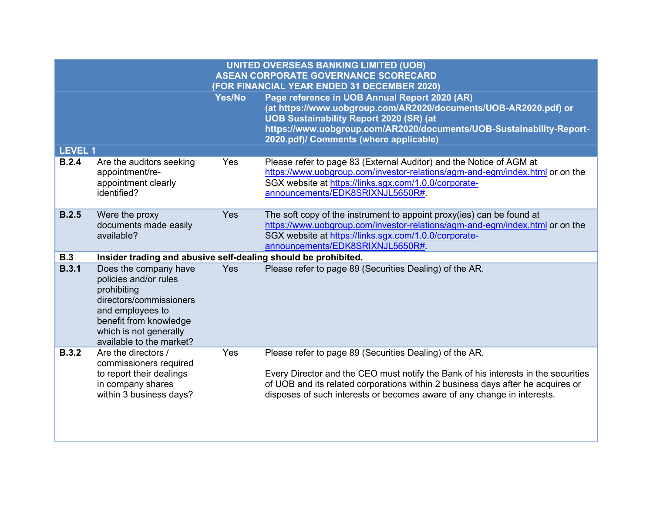|                |                                                                |        | <b>UNITED OVERSEAS BANKING LIMITED (UOB)</b>                                                                                          |
|----------------|----------------------------------------------------------------|--------|---------------------------------------------------------------------------------------------------------------------------------------|
|                |                                                                |        | <b>ASEAN CORPORATE GOVERNANCE SCORECARD</b>                                                                                           |
|                |                                                                |        | (FOR FINANCIAL YEAR ENDED 31 DECEMBER 2020)                                                                                           |
|                |                                                                | Yes/No | Page reference in UOB Annual Report 2020 (AR)                                                                                         |
|                |                                                                |        | (at https://www.uobgroup.com/AR2020/documents/UOB-AR2020.pdf) or                                                                      |
|                |                                                                |        | <b>UOB Sustainability Report 2020 (SR) (at</b>                                                                                        |
|                |                                                                |        | https://www.uobgroup.com/AR2020/documents/UOB-Sustainability-Report-                                                                  |
|                |                                                                |        | 2020.pdf)/ Comments (where applicable)                                                                                                |
| <b>LEVEL 1</b> |                                                                |        |                                                                                                                                       |
| B.2.4          | Are the auditors seeking                                       | Yes    | Please refer to page 83 (External Auditor) and the Notice of AGM at                                                                   |
|                | appointment/re-                                                |        | https://www.uobgroup.com/investor-relations/agm-and-egm/index.html or on the<br>SGX website at https://links.sgx.com/1.0.0/corporate- |
|                | appointment clearly<br>identified?                             |        | announcements/EDK8SRIXNJL5650R#.                                                                                                      |
|                |                                                                |        |                                                                                                                                       |
| B.2.5          | Were the proxy                                                 | Yes    | The soft copy of the instrument to appoint proxy(ies) can be found at                                                                 |
|                | documents made easily                                          |        | https://www.uobgroup.com/investor-relations/agm-and-egm/index.html or on the                                                          |
|                | available?                                                     |        | SGX website at https://links.sgx.com/1.0.0/corporate-                                                                                 |
|                |                                                                |        | announcements/EDK8SRIXNJL5650R#                                                                                                       |
| <b>B.3</b>     | Insider trading and abusive self-dealing should be prohibited. |        |                                                                                                                                       |
| <b>B.3.1</b>   | Does the company have                                          | Yes    | Please refer to page 89 (Securities Dealing) of the AR.                                                                               |
|                | policies and/or rules                                          |        |                                                                                                                                       |
|                | prohibiting                                                    |        |                                                                                                                                       |
|                | directors/commissioners                                        |        |                                                                                                                                       |
|                | and employees to                                               |        |                                                                                                                                       |
|                | benefit from knowledge                                         |        |                                                                                                                                       |
|                | which is not generally                                         |        |                                                                                                                                       |
|                | available to the market?                                       |        |                                                                                                                                       |
| <b>B.3.2</b>   | Are the directors /<br>commissioners required                  | Yes    | Please refer to page 89 (Securities Dealing) of the AR.                                                                               |
|                | to report their dealings                                       |        | Every Director and the CEO must notify the Bank of his interests in the securities                                                    |
|                | in company shares                                              |        | of UOB and its related corporations within 2 business days after he acquires or                                                       |
|                | within 3 business days?                                        |        | disposes of such interests or becomes aware of any change in interests.                                                               |
|                |                                                                |        |                                                                                                                                       |
|                |                                                                |        |                                                                                                                                       |
|                |                                                                |        |                                                                                                                                       |
|                |                                                                |        |                                                                                                                                       |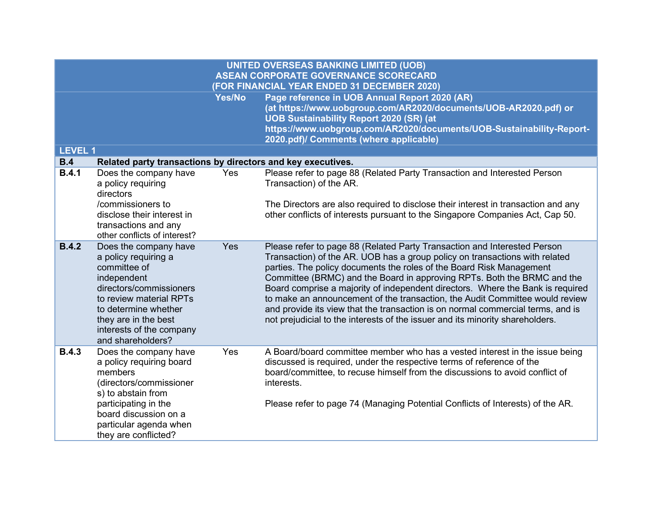|                |                                                                                                                                                                                                                                     |        | <b>UNITED OVERSEAS BANKING LIMITED (UOB)</b><br><b>ASEAN CORPORATE GOVERNANCE SCORECARD</b><br>(FOR FINANCIAL YEAR ENDED 31 DECEMBER 2020)                                                                                                                                                                                                                                                                                                                                                                                                                                                                                                       |
|----------------|-------------------------------------------------------------------------------------------------------------------------------------------------------------------------------------------------------------------------------------|--------|--------------------------------------------------------------------------------------------------------------------------------------------------------------------------------------------------------------------------------------------------------------------------------------------------------------------------------------------------------------------------------------------------------------------------------------------------------------------------------------------------------------------------------------------------------------------------------------------------------------------------------------------------|
|                |                                                                                                                                                                                                                                     | Yes/No | Page reference in UOB Annual Report 2020 (AR)<br>(at https://www.uobgroup.com/AR2020/documents/UOB-AR2020.pdf) or<br><b>UOB Sustainability Report 2020 (SR) (at</b><br>https://www.uobgroup.com/AR2020/documents/UOB-Sustainability-Report-<br>2020.pdf)/ Comments (where applicable)                                                                                                                                                                                                                                                                                                                                                            |
| <b>LEVEL 1</b> |                                                                                                                                                                                                                                     |        |                                                                                                                                                                                                                                                                                                                                                                                                                                                                                                                                                                                                                                                  |
| B.4            | Related party transactions by directors and key executives.                                                                                                                                                                         |        |                                                                                                                                                                                                                                                                                                                                                                                                                                                                                                                                                                                                                                                  |
| <b>B.4.1</b>   | Does the company have<br>a policy requiring<br>directors                                                                                                                                                                            | Yes    | Please refer to page 88 (Related Party Transaction and Interested Person<br>Transaction) of the AR.                                                                                                                                                                                                                                                                                                                                                                                                                                                                                                                                              |
|                | /commissioners to<br>disclose their interest in<br>transactions and any<br>other conflicts of interest?                                                                                                                             |        | The Directors are also required to disclose their interest in transaction and any<br>other conflicts of interests pursuant to the Singapore Companies Act, Cap 50.                                                                                                                                                                                                                                                                                                                                                                                                                                                                               |
| <b>B.4.2</b>   | Does the company have<br>a policy requiring a<br>committee of<br>independent<br>directors/commissioners<br>to review material RPTs<br>to determine whether<br>they are in the best<br>interests of the company<br>and shareholders? | Yes    | Please refer to page 88 (Related Party Transaction and Interested Person<br>Transaction) of the AR. UOB has a group policy on transactions with related<br>parties. The policy documents the roles of the Board Risk Management<br>Committee (BRMC) and the Board in approving RPTs. Both the BRMC and the<br>Board comprise a majority of independent directors. Where the Bank is required<br>to make an announcement of the transaction, the Audit Committee would review<br>and provide its view that the transaction is on normal commercial terms, and is<br>not prejudicial to the interests of the issuer and its minority shareholders. |
| <b>B.4.3</b>   | Does the company have<br>a policy requiring board<br>members<br>(directors/commissioner<br>s) to abstain from<br>participating in the<br>board discussion on a<br>particular agenda when<br>they are conflicted?                    | Yes    | A Board/board committee member who has a vested interest in the issue being<br>discussed is required, under the respective terms of reference of the<br>board/committee, to recuse himself from the discussions to avoid conflict of<br>interests.<br>Please refer to page 74 (Managing Potential Conflicts of Interests) of the AR.                                                                                                                                                                                                                                                                                                             |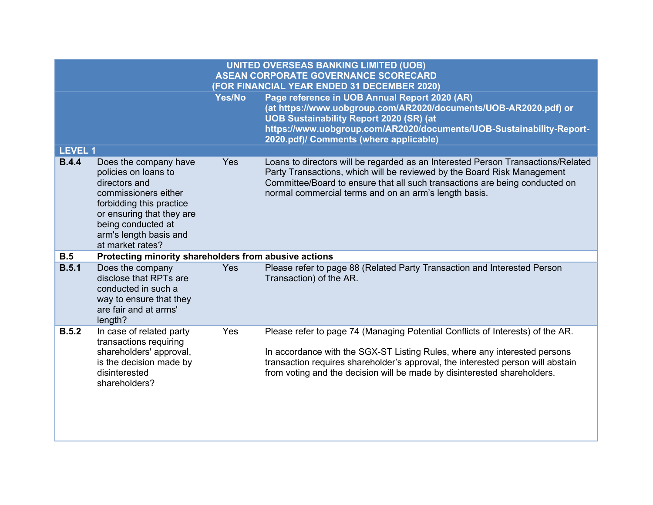|                |                                                                                                                                                                                                                     |            | <b>UNITED OVERSEAS BANKING LIMITED (UOB)</b><br><b>ASEAN CORPORATE GOVERNANCE SCORECARD</b>                                                                                                                                                                                                                                |
|----------------|---------------------------------------------------------------------------------------------------------------------------------------------------------------------------------------------------------------------|------------|----------------------------------------------------------------------------------------------------------------------------------------------------------------------------------------------------------------------------------------------------------------------------------------------------------------------------|
|                |                                                                                                                                                                                                                     |            | (FOR FINANCIAL YEAR ENDED 31 DECEMBER 2020)                                                                                                                                                                                                                                                                                |
|                |                                                                                                                                                                                                                     | Yes/No     | Page reference in UOB Annual Report 2020 (AR)<br>(at https://www.uobgroup.com/AR2020/documents/UOB-AR2020.pdf) or<br><b>UOB Sustainability Report 2020 (SR) (at</b><br>https://www.uobgroup.com/AR2020/documents/UOB-Sustainability-Report-<br>2020.pdf)/ Comments (where applicable)                                      |
| <b>LEVEL 1</b> |                                                                                                                                                                                                                     |            |                                                                                                                                                                                                                                                                                                                            |
| <b>B.4.4</b>   | Does the company have<br>policies on loans to<br>directors and<br>commissioners either<br>forbidding this practice<br>or ensuring that they are<br>being conducted at<br>arm's length basis and<br>at market rates? | <b>Yes</b> | Loans to directors will be regarded as an Interested Person Transactions/Related<br>Party Transactions, which will be reviewed by the Board Risk Management<br>Committee/Board to ensure that all such transactions are being conducted on<br>normal commercial terms and on an arm's length basis.                        |
| <b>B.5</b>     | Protecting minority shareholders from abusive actions                                                                                                                                                               |            |                                                                                                                                                                                                                                                                                                                            |
| B.5.1          | Does the company<br>disclose that RPTs are<br>conducted in such a<br>way to ensure that they<br>are fair and at arms'<br>length?                                                                                    | Yes        | Please refer to page 88 (Related Party Transaction and Interested Person<br>Transaction) of the AR.                                                                                                                                                                                                                        |
| B.5.2          | In case of related party<br>transactions requiring<br>shareholders' approval,<br>is the decision made by<br>disinterested<br>shareholders?                                                                          | Yes        | Please refer to page 74 (Managing Potential Conflicts of Interests) of the AR.<br>In accordance with the SGX-ST Listing Rules, where any interested persons<br>transaction requires shareholder's approval, the interested person will abstain<br>from voting and the decision will be made by disinterested shareholders. |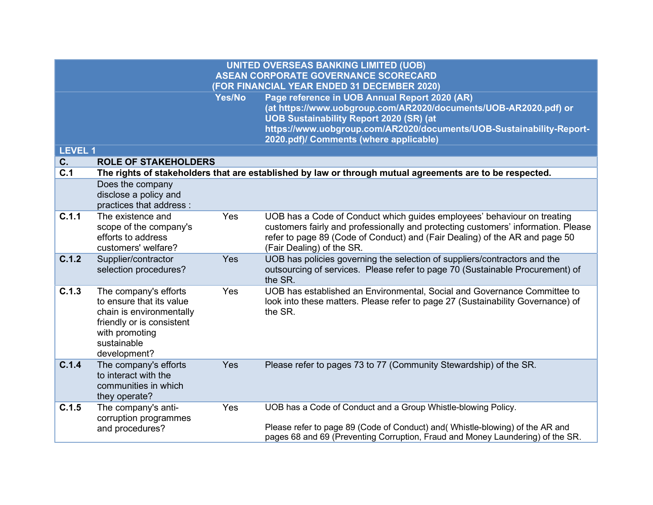|                |                                                                                            |     | <b>UNITED OVERSEAS BANKING LIMITED (UOB)</b>                                                                                                                |  |
|----------------|--------------------------------------------------------------------------------------------|-----|-------------------------------------------------------------------------------------------------------------------------------------------------------------|--|
|                | <b>ASEAN CORPORATE GOVERNANCE SCORECARD</b><br>(FOR FINANCIAL YEAR ENDED 31 DECEMBER 2020) |     |                                                                                                                                                             |  |
|                | Page reference in UOB Annual Report 2020 (AR)<br>Yes/No                                    |     |                                                                                                                                                             |  |
|                |                                                                                            |     | (at https://www.uobgroup.com/AR2020/documents/UOB-AR2020.pdf) or                                                                                            |  |
|                |                                                                                            |     | <b>UOB Sustainability Report 2020 (SR) (at</b>                                                                                                              |  |
|                |                                                                                            |     | https://www.uobgroup.com/AR2020/documents/UOB-Sustainability-Report-<br>2020.pdf)/ Comments (where applicable)                                              |  |
| <b>LEVEL 1</b> |                                                                                            |     |                                                                                                                                                             |  |
| $C_{1}$        | <b>ROLE OF STAKEHOLDERS</b>                                                                |     |                                                                                                                                                             |  |
| C.1            |                                                                                            |     | The rights of stakeholders that are established by law or through mutual agreements are to be respected.                                                    |  |
|                | Does the company                                                                           |     |                                                                                                                                                             |  |
|                | disclose a policy and                                                                      |     |                                                                                                                                                             |  |
| C.1.1          | practices that address :<br>The existence and                                              | Yes | UOB has a Code of Conduct which guides employees' behaviour on treating                                                                                     |  |
|                | scope of the company's                                                                     |     | customers fairly and professionally and protecting customers' information. Please                                                                           |  |
|                | efforts to address                                                                         |     | refer to page 89 (Code of Conduct) and (Fair Dealing) of the AR and page 50                                                                                 |  |
|                | customers' welfare?                                                                        |     | (Fair Dealing) of the SR.                                                                                                                                   |  |
| C.1.2          | Supplier/contractor                                                                        | Yes | UOB has policies governing the selection of suppliers/contractors and the                                                                                   |  |
|                | selection procedures?                                                                      |     | outsourcing of services. Please refer to page 70 (Sustainable Procurement) of                                                                               |  |
| C.1.3          |                                                                                            |     | the SR.                                                                                                                                                     |  |
|                | The company's efforts<br>to ensure that its value                                          | Yes | UOB has established an Environmental, Social and Governance Committee to<br>look into these matters. Please refer to page 27 (Sustainability Governance) of |  |
|                | chain is environmentally                                                                   |     | the SR.                                                                                                                                                     |  |
|                | friendly or is consistent                                                                  |     |                                                                                                                                                             |  |
|                | with promoting                                                                             |     |                                                                                                                                                             |  |
|                | sustainable                                                                                |     |                                                                                                                                                             |  |
|                | development?                                                                               |     |                                                                                                                                                             |  |
| C.1.4          | The company's efforts                                                                      | Yes | Please refer to pages 73 to 77 (Community Stewardship) of the SR.                                                                                           |  |
|                | to interact with the<br>communities in which                                               |     |                                                                                                                                                             |  |
|                | they operate?                                                                              |     |                                                                                                                                                             |  |
| C.1.5          | The company's anti-                                                                        | Yes | UOB has a Code of Conduct and a Group Whistle-blowing Policy.                                                                                               |  |
|                | corruption programmes                                                                      |     |                                                                                                                                                             |  |
|                | and procedures?                                                                            |     | Please refer to page 89 (Code of Conduct) and (Whistle-blowing) of the AR and                                                                               |  |
|                |                                                                                            |     | pages 68 and 69 (Preventing Corruption, Fraud and Money Laundering) of the SR.                                                                              |  |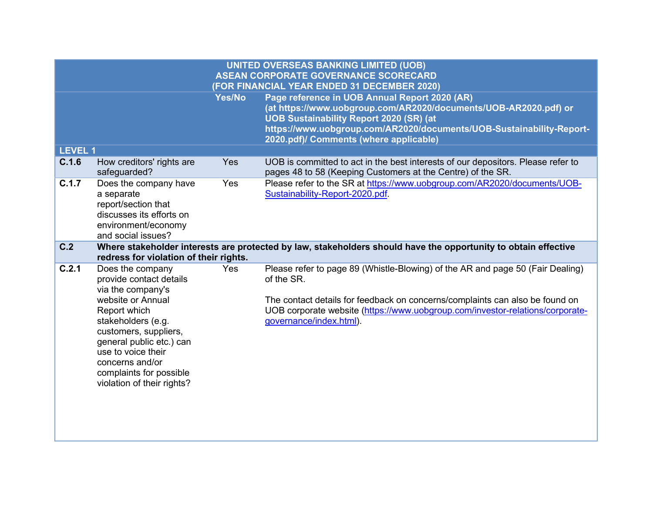|                |                                                                                                                                                                                                                                                                                    |        | <b>UNITED OVERSEAS BANKING LIMITED (UOB)</b><br><b>ASEAN CORPORATE GOVERNANCE SCORECARD</b><br>(FOR FINANCIAL YEAR ENDED 31 DECEMBER 2020)                                                                                                                                               |
|----------------|------------------------------------------------------------------------------------------------------------------------------------------------------------------------------------------------------------------------------------------------------------------------------------|--------|------------------------------------------------------------------------------------------------------------------------------------------------------------------------------------------------------------------------------------------------------------------------------------------|
|                |                                                                                                                                                                                                                                                                                    | Yes/No | Page reference in UOB Annual Report 2020 (AR)<br>(at https://www.uobgroup.com/AR2020/documents/UOB-AR2020.pdf) or<br><b>UOB Sustainability Report 2020 (SR) (at</b><br>https://www.uobgroup.com/AR2020/documents/UOB-Sustainability-Report-<br>2020.pdf)/ Comments (where applicable)    |
| <b>LEVEL 1</b> |                                                                                                                                                                                                                                                                                    |        |                                                                                                                                                                                                                                                                                          |
| C.1.6          | How creditors' rights are<br>safeguarded?                                                                                                                                                                                                                                          | Yes    | UOB is committed to act in the best interests of our depositors. Please refer to<br>pages 48 to 58 (Keeping Customers at the Centre) of the SR.                                                                                                                                          |
| C.1.7          | Does the company have<br>a separate<br>report/section that<br>discusses its efforts on<br>environment/economy<br>and social issues?                                                                                                                                                | Yes    | Please refer to the SR at https://www.uobgroup.com/AR2020/documents/UOB-<br>Sustainability-Report-2020.pdf.                                                                                                                                                                              |
| C.2            | redress for violation of their rights.                                                                                                                                                                                                                                             |        | Where stakeholder interests are protected by law, stakeholders should have the opportunity to obtain effective                                                                                                                                                                           |
| C.2.1          | Does the company<br>provide contact details<br>via the company's<br>website or Annual<br>Report which<br>stakeholders (e.g.<br>customers, suppliers,<br>general public etc.) can<br>use to voice their<br>concerns and/or<br>complaints for possible<br>violation of their rights? | Yes    | Please refer to page 89 (Whistle-Blowing) of the AR and page 50 (Fair Dealing)<br>of the SR.<br>The contact details for feedback on concerns/complaints can also be found on<br>UOB corporate website (https://www.uobgroup.com/investor-relations/corporate-<br>governance/index.html). |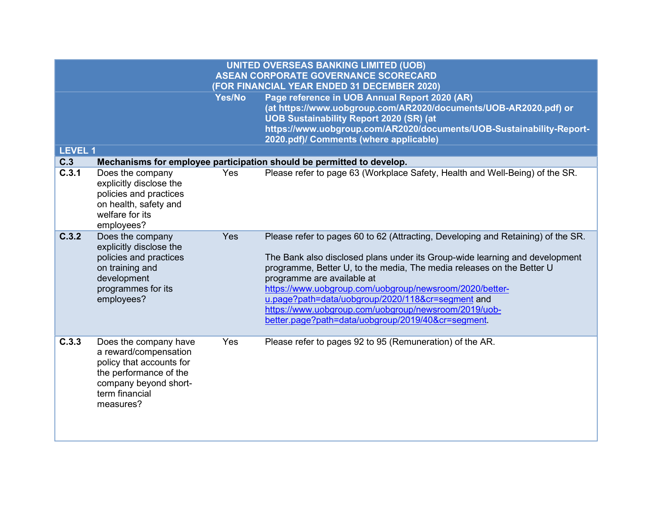|                |                                                                                                                                                              |            | <b>UNITED OVERSEAS BANKING LIMITED (UOB)</b><br><b>ASEAN CORPORATE GOVERNANCE SCORECARD</b><br>(FOR FINANCIAL YEAR ENDED 31 DECEMBER 2020)                                                                                                                                                                                                                                                                                                                                                          |
|----------------|--------------------------------------------------------------------------------------------------------------------------------------------------------------|------------|-----------------------------------------------------------------------------------------------------------------------------------------------------------------------------------------------------------------------------------------------------------------------------------------------------------------------------------------------------------------------------------------------------------------------------------------------------------------------------------------------------|
|                |                                                                                                                                                              | Yes/No     | Page reference in UOB Annual Report 2020 (AR)<br>(at https://www.uobgroup.com/AR2020/documents/UOB-AR2020.pdf) or<br><b>UOB Sustainability Report 2020 (SR) (at</b><br>https://www.uobgroup.com/AR2020/documents/UOB-Sustainability-Report-<br>2020.pdf)/ Comments (where applicable)                                                                                                                                                                                                               |
| <b>LEVEL 1</b> |                                                                                                                                                              |            |                                                                                                                                                                                                                                                                                                                                                                                                                                                                                                     |
| C.3            |                                                                                                                                                              |            | Mechanisms for employee participation should be permitted to develop.                                                                                                                                                                                                                                                                                                                                                                                                                               |
| C.3.1          | Does the company<br>explicitly disclose the<br>policies and practices<br>on health, safety and<br>welfare for its<br>employees?                              | Yes        | Please refer to page 63 (Workplace Safety, Health and Well-Being) of the SR.                                                                                                                                                                                                                                                                                                                                                                                                                        |
| C.3.2          | Does the company<br>explicitly disclose the<br>policies and practices<br>on training and<br>development<br>programmes for its<br>employees?                  | <b>Yes</b> | Please refer to pages 60 to 62 (Attracting, Developing and Retaining) of the SR.<br>The Bank also disclosed plans under its Group-wide learning and development<br>programme, Better U, to the media, The media releases on the Better U<br>programme are available at<br>https://www.uobgroup.com/uobgroup/newsroom/2020/better-<br>u.page?path=data/uobgroup/2020/118&cr=segment and<br>https://www.uobgroup.com/uobgroup/newsroom/2019/uob-<br>better.page?path=data/uobgroup/2019/40&cr=segment |
| C.3.3          | Does the company have<br>a reward/compensation<br>policy that accounts for<br>the performance of the<br>company beyond short-<br>term financial<br>measures? | Yes        | Please refer to pages 92 to 95 (Remuneration) of the AR.                                                                                                                                                                                                                                                                                                                                                                                                                                            |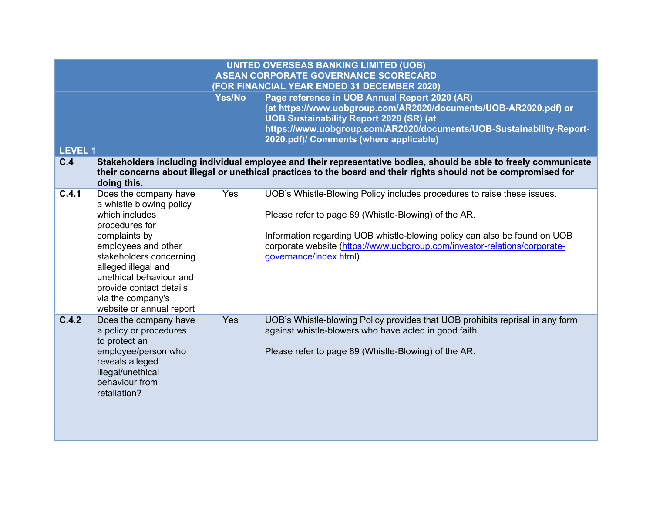|                |                                                                                                                                                                                                                                                                                        |        | <b>UNITED OVERSEAS BANKING LIMITED (UOB)</b><br><b>ASEAN CORPORATE GOVERNANCE SCORECARD</b><br>(FOR FINANCIAL YEAR ENDED 31 DECEMBER 2020)                                                                                                                                                                           |
|----------------|----------------------------------------------------------------------------------------------------------------------------------------------------------------------------------------------------------------------------------------------------------------------------------------|--------|----------------------------------------------------------------------------------------------------------------------------------------------------------------------------------------------------------------------------------------------------------------------------------------------------------------------|
|                |                                                                                                                                                                                                                                                                                        | Yes/No | Page reference in UOB Annual Report 2020 (AR)<br>(at https://www.uobgroup.com/AR2020/documents/UOB-AR2020.pdf) or<br><b>UOB Sustainability Report 2020 (SR) (at</b><br>https://www.uobgroup.com/AR2020/documents/UOB-Sustainability-Report-<br>2020.pdf)/ Comments (where applicable)                                |
| <b>LEVEL 1</b> |                                                                                                                                                                                                                                                                                        |        |                                                                                                                                                                                                                                                                                                                      |
| C.4            | doing this.                                                                                                                                                                                                                                                                            |        | Stakeholders including individual employee and their representative bodies, should be able to freely communicate<br>their concerns about illegal or unethical practices to the board and their rights should not be compromised for                                                                                  |
| C.4.1          | Does the company have<br>a whistle blowing policy<br>which includes<br>procedures for<br>complaints by<br>employees and other<br>stakeholders concerning<br>alleged illegal and<br>unethical behaviour and<br>provide contact details<br>via the company's<br>website or annual report | Yes    | UOB's Whistle-Blowing Policy includes procedures to raise these issues.<br>Please refer to page 89 (Whistle-Blowing) of the AR.<br>Information regarding UOB whistle-blowing policy can also be found on UOB<br>corporate website (https://www.uobgroup.com/investor-relations/corporate-<br>governance/index.html). |
| C.4.2          | Does the company have<br>a policy or procedures<br>to protect an<br>employee/person who<br>reveals alleged<br>illegal/unethical<br>behaviour from<br>retaliation?                                                                                                                      | Yes    | UOB's Whistle-blowing Policy provides that UOB prohibits reprisal in any form<br>against whistle-blowers who have acted in good faith.<br>Please refer to page 89 (Whistle-Blowing) of the AR.                                                                                                                       |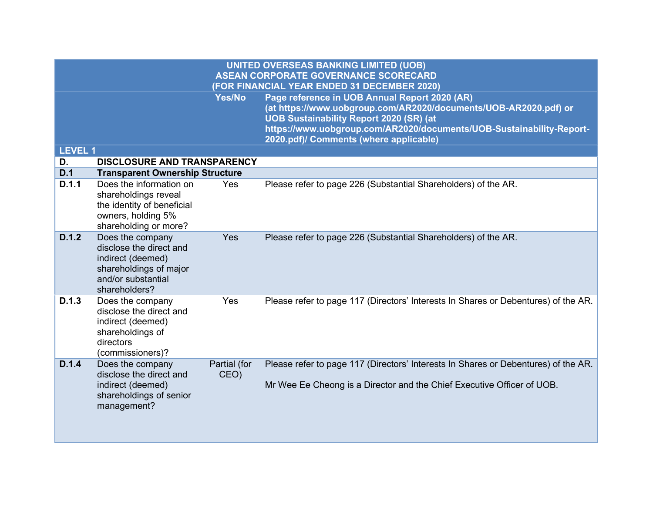|                |                                                                                                                                   | Yes/No               | UNITED OVERSEAS BANKING LIMITED (UOB)<br><b>ASEAN CORPORATE GOVERNANCE SCORECARD</b><br>(FOR FINANCIAL YEAR ENDED 31 DECEMBER 2020)<br>Page reference in UOB Annual Report 2020 (AR)<br>(at https://www.uobgroup.com/AR2020/documents/UOB-AR2020.pdf) or<br><b>UOB Sustainability Report 2020 (SR) (at</b><br>https://www.uobgroup.com/AR2020/documents/UOB-Sustainability-Report- |
|----------------|-----------------------------------------------------------------------------------------------------------------------------------|----------------------|------------------------------------------------------------------------------------------------------------------------------------------------------------------------------------------------------------------------------------------------------------------------------------------------------------------------------------------------------------------------------------|
|                |                                                                                                                                   |                      | 2020.pdf)/ Comments (where applicable)                                                                                                                                                                                                                                                                                                                                             |
| <b>LEVEL 1</b> |                                                                                                                                   |                      |                                                                                                                                                                                                                                                                                                                                                                                    |
| D.             | <b>DISCLOSURE AND TRANSPARENCY</b>                                                                                                |                      |                                                                                                                                                                                                                                                                                                                                                                                    |
| D.1            | <b>Transparent Ownership Structure</b>                                                                                            |                      |                                                                                                                                                                                                                                                                                                                                                                                    |
| D.1.1          | Does the information on<br>shareholdings reveal<br>the identity of beneficial<br>owners, holding 5%<br>shareholding or more?      | Yes                  | Please refer to page 226 (Substantial Shareholders) of the AR.                                                                                                                                                                                                                                                                                                                     |
| D.1.2          | Does the company<br>disclose the direct and<br>indirect (deemed)<br>shareholdings of major<br>and/or substantial<br>shareholders? | Yes                  | Please refer to page 226 (Substantial Shareholders) of the AR.                                                                                                                                                                                                                                                                                                                     |
| D.1.3          | Does the company<br>disclose the direct and<br>indirect (deemed)<br>shareholdings of<br>directors<br>(commissioners)?             | Yes                  | Please refer to page 117 (Directors' Interests In Shares or Debentures) of the AR.                                                                                                                                                                                                                                                                                                 |
| D.1.4          | Does the company<br>disclose the direct and<br>indirect (deemed)<br>shareholdings of senior<br>management?                        | Partial (for<br>CEO) | Please refer to page 117 (Directors' Interests In Shares or Debentures) of the AR.<br>Mr Wee Ee Cheong is a Director and the Chief Executive Officer of UOB.                                                                                                                                                                                                                       |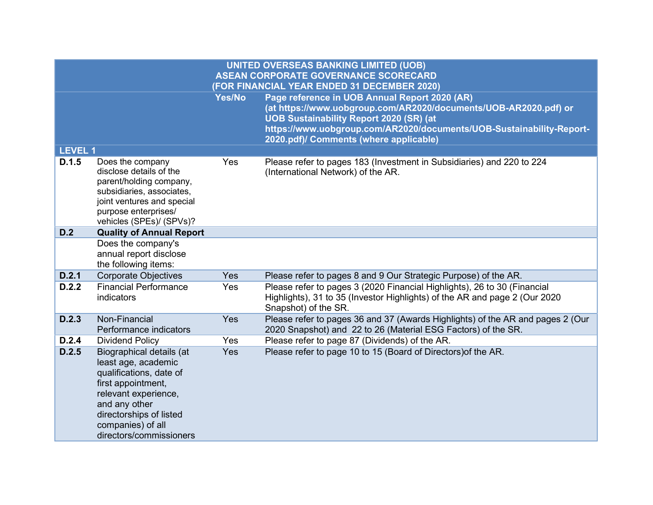|                |                                                                                                                                                                                                                      |        | <b>UNITED OVERSEAS BANKING LIMITED (UOB)</b>                                                                                                                                                                                                                                          |
|----------------|----------------------------------------------------------------------------------------------------------------------------------------------------------------------------------------------------------------------|--------|---------------------------------------------------------------------------------------------------------------------------------------------------------------------------------------------------------------------------------------------------------------------------------------|
|                |                                                                                                                                                                                                                      |        | <b>ASEAN CORPORATE GOVERNANCE SCORECARD</b>                                                                                                                                                                                                                                           |
|                |                                                                                                                                                                                                                      |        | (FOR FINANCIAL YEAR ENDED 31 DECEMBER 2020)                                                                                                                                                                                                                                           |
|                |                                                                                                                                                                                                                      | Yes/No | Page reference in UOB Annual Report 2020 (AR)<br>(at https://www.uobgroup.com/AR2020/documents/UOB-AR2020.pdf) or<br><b>UOB Sustainability Report 2020 (SR) (at</b><br>https://www.uobgroup.com/AR2020/documents/UOB-Sustainability-Report-<br>2020.pdf)/ Comments (where applicable) |
| <b>LEVEL 1</b> |                                                                                                                                                                                                                      |        |                                                                                                                                                                                                                                                                                       |
| D.1.5          | Does the company<br>disclose details of the<br>parent/holding company,<br>subsidiaries, associates,<br>joint ventures and special<br>purpose enterprises/<br>vehicles (SPEs)/ (SPVs)?                                | Yes    | Please refer to pages 183 (Investment in Subsidiaries) and 220 to 224<br>(International Network) of the AR.                                                                                                                                                                           |
| D.2            | <b>Quality of Annual Report</b>                                                                                                                                                                                      |        |                                                                                                                                                                                                                                                                                       |
|                | Does the company's<br>annual report disclose<br>the following items:                                                                                                                                                 |        |                                                                                                                                                                                                                                                                                       |
| D.2.1          | <b>Corporate Objectives</b>                                                                                                                                                                                          | Yes    | Please refer to pages 8 and 9 Our Strategic Purpose) of the AR.                                                                                                                                                                                                                       |
| D.2.2          | <b>Financial Performance</b><br>indicators                                                                                                                                                                           | Yes    | Please refer to pages 3 (2020 Financial Highlights), 26 to 30 (Financial<br>Highlights), 31 to 35 (Investor Highlights) of the AR and page 2 (Our 2020<br>Snapshot) of the SR.                                                                                                        |
| D.2.3          | Non-Financial<br>Performance indicators                                                                                                                                                                              | Yes    | Please refer to pages 36 and 37 (Awards Highlights) of the AR and pages 2 (Our<br>2020 Snapshot) and 22 to 26 (Material ESG Factors) of the SR.                                                                                                                                       |
| D.2.4          | <b>Dividend Policy</b>                                                                                                                                                                                               | Yes    | Please refer to page 87 (Dividends) of the AR.                                                                                                                                                                                                                                        |
| D.2.5          | Biographical details (at<br>least age, academic<br>qualifications, date of<br>first appointment,<br>relevant experience,<br>and any other<br>directorships of listed<br>companies) of all<br>directors/commissioners | Yes    | Please refer to page 10 to 15 (Board of Directors) of the AR.                                                                                                                                                                                                                         |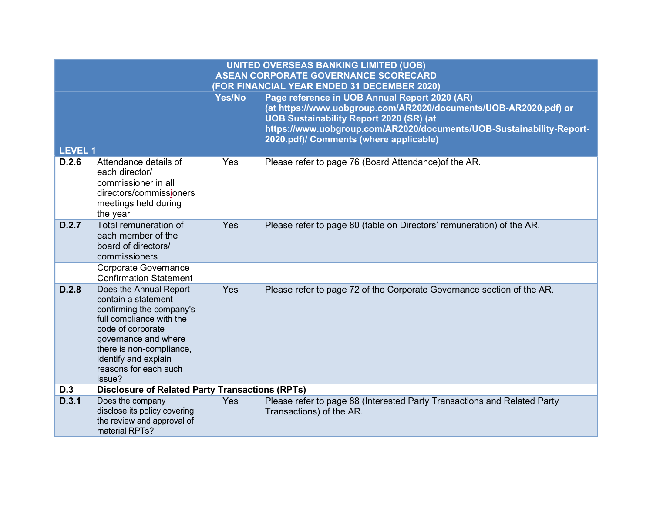|                | <b>UNITED OVERSEAS BANKING LIMITED (UOB)</b><br><b>ASEAN CORPORATE GOVERNANCE SCORECARD</b><br>(FOR FINANCIAL YEAR ENDED 31 DECEMBER 2020)                                                                                                |            |                                                                                                                                                                                                                                                                                       |
|----------------|-------------------------------------------------------------------------------------------------------------------------------------------------------------------------------------------------------------------------------------------|------------|---------------------------------------------------------------------------------------------------------------------------------------------------------------------------------------------------------------------------------------------------------------------------------------|
|                |                                                                                                                                                                                                                                           | Yes/No     | Page reference in UOB Annual Report 2020 (AR)<br>(at https://www.uobgroup.com/AR2020/documents/UOB-AR2020.pdf) or<br><b>UOB Sustainability Report 2020 (SR) (at</b><br>https://www.uobgroup.com/AR2020/documents/UOB-Sustainability-Report-<br>2020.pdf)/ Comments (where applicable) |
| <b>LEVEL 1</b> |                                                                                                                                                                                                                                           |            |                                                                                                                                                                                                                                                                                       |
| D.2.6          | Attendance details of<br>each director/<br>commissioner in all<br>directors/commissioners<br>meetings held during<br>the year                                                                                                             | Yes        | Please refer to page 76 (Board Attendance) of the AR.                                                                                                                                                                                                                                 |
| D.2.7          | Total remuneration of<br>each member of the<br>board of directors/<br>commissioners                                                                                                                                                       | Yes        | Please refer to page 80 (table on Directors' remuneration) of the AR.                                                                                                                                                                                                                 |
|                | <b>Corporate Governance</b><br><b>Confirmation Statement</b>                                                                                                                                                                              |            |                                                                                                                                                                                                                                                                                       |
| D.2.8          | Does the Annual Report<br>contain a statement<br>confirming the company's<br>full compliance with the<br>code of corporate<br>governance and where<br>there is non-compliance,<br>identify and explain<br>reasons for each such<br>issue? | Yes        | Please refer to page 72 of the Corporate Governance section of the AR.                                                                                                                                                                                                                |
| D.3            | <b>Disclosure of Related Party Transactions (RPTs)</b>                                                                                                                                                                                    |            |                                                                                                                                                                                                                                                                                       |
| D.3.1          | Does the company<br>disclose its policy covering<br>the review and approval of<br>material RPTs?                                                                                                                                          | <b>Yes</b> | Please refer to page 88 (Interested Party Transactions and Related Party<br>Transactions) of the AR.                                                                                                                                                                                  |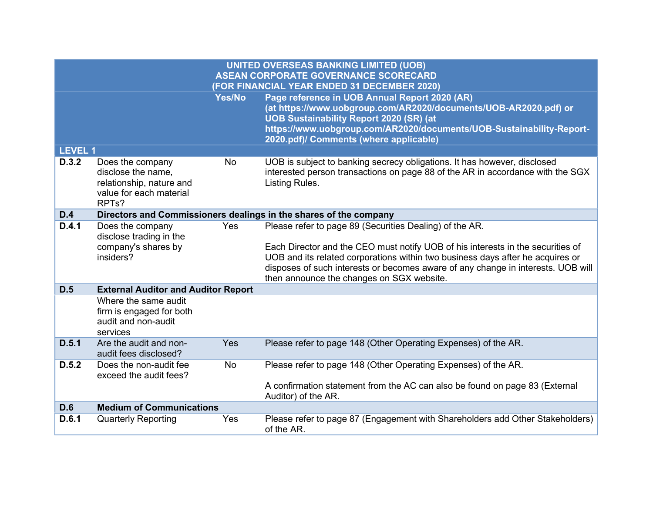|                |                                                                                                                     |            | <b>UNITED OVERSEAS BANKING LIMITED (UOB)</b>                                                                                                                                                                                                                                                                                                                  |
|----------------|---------------------------------------------------------------------------------------------------------------------|------------|---------------------------------------------------------------------------------------------------------------------------------------------------------------------------------------------------------------------------------------------------------------------------------------------------------------------------------------------------------------|
|                |                                                                                                                     |            | <b>ASEAN CORPORATE GOVERNANCE SCORECARD</b><br>(FOR FINANCIAL YEAR ENDED 31 DECEMBER 2020)                                                                                                                                                                                                                                                                    |
|                |                                                                                                                     | Yes/No     | Page reference in UOB Annual Report 2020 (AR)<br>(at https://www.uobgroup.com/AR2020/documents/UOB-AR2020.pdf) or<br><b>UOB Sustainability Report 2020 (SR) (at</b><br>https://www.uobgroup.com/AR2020/documents/UOB-Sustainability-Report-<br>2020.pdf)/ Comments (where applicable)                                                                         |
| <b>LEVEL 1</b> |                                                                                                                     |            |                                                                                                                                                                                                                                                                                                                                                               |
| D.3.2          | Does the company<br>disclose the name,<br>relationship, nature and<br>value for each material<br>RPT <sub>s</sub> ? | No         | UOB is subject to banking secrecy obligations. It has however, disclosed<br>interested person transactions on page 88 of the AR in accordance with the SGX<br>Listing Rules.                                                                                                                                                                                  |
| D.4            |                                                                                                                     |            | Directors and Commissioners dealings in the shares of the company                                                                                                                                                                                                                                                                                             |
| D.4.1          | Does the company<br>disclose trading in the<br>company's shares by<br>insiders?                                     | <b>Yes</b> | Please refer to page 89 (Securities Dealing) of the AR.<br>Each Director and the CEO must notify UOB of his interests in the securities of<br>UOB and its related corporations within two business days after he acquires or<br>disposes of such interests or becomes aware of any change in interests. UOB will<br>then announce the changes on SGX website. |
| D.5            | <b>External Auditor and Auditor Report</b>                                                                          |            |                                                                                                                                                                                                                                                                                                                                                               |
|                | Where the same audit<br>firm is engaged for both<br>audit and non-audit<br>services                                 |            |                                                                                                                                                                                                                                                                                                                                                               |
| D.5.1          | Are the audit and non-<br>audit fees disclosed?                                                                     | Yes        | Please refer to page 148 (Other Operating Expenses) of the AR.                                                                                                                                                                                                                                                                                                |
| D.5.2          | Does the non-audit fee<br>exceed the audit fees?                                                                    | No         | Please refer to page 148 (Other Operating Expenses) of the AR.<br>A confirmation statement from the AC can also be found on page 83 (External<br>Auditor) of the AR.                                                                                                                                                                                          |
| D.6            | <b>Medium of Communications</b>                                                                                     |            |                                                                                                                                                                                                                                                                                                                                                               |
| D.6.1          | <b>Quarterly Reporting</b>                                                                                          | Yes        | Please refer to page 87 (Engagement with Shareholders add Other Stakeholders)<br>of the AR.                                                                                                                                                                                                                                                                   |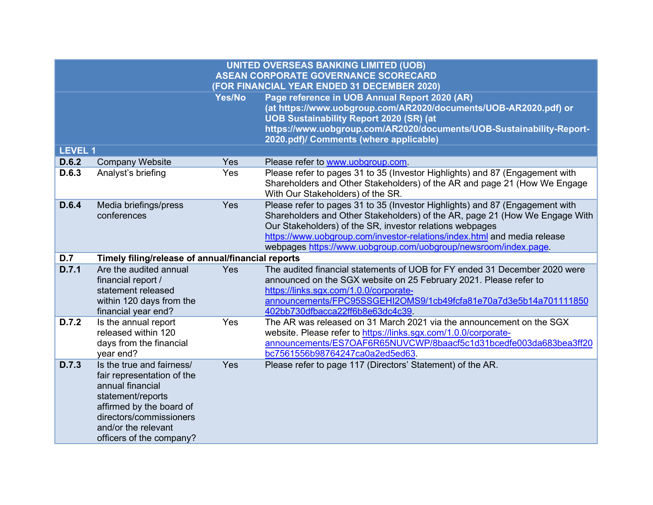|                |                                                                                                                                                                                                            |        | <b>UNITED OVERSEAS BANKING LIMITED (UOB)</b><br><b>ASEAN CORPORATE GOVERNANCE SCORECARD</b><br>(FOR FINANCIAL YEAR ENDED 31 DECEMBER 2020)                                                                                                                                                                                                                             |
|----------------|------------------------------------------------------------------------------------------------------------------------------------------------------------------------------------------------------------|--------|------------------------------------------------------------------------------------------------------------------------------------------------------------------------------------------------------------------------------------------------------------------------------------------------------------------------------------------------------------------------|
|                |                                                                                                                                                                                                            | Yes/No | Page reference in UOB Annual Report 2020 (AR)<br>(at https://www.uobgroup.com/AR2020/documents/UOB-AR2020.pdf) or<br><b>UOB Sustainability Report 2020 (SR) (at</b><br>https://www.uobgroup.com/AR2020/documents/UOB-Sustainability-Report-<br>2020.pdf)/ Comments (where applicable)                                                                                  |
| <b>LEVEL 1</b> |                                                                                                                                                                                                            |        |                                                                                                                                                                                                                                                                                                                                                                        |
| D.6.2          | <b>Company Website</b>                                                                                                                                                                                     | Yes    | Please refer to www.uobgroup.com.                                                                                                                                                                                                                                                                                                                                      |
| D.6.3          | Analyst's briefing                                                                                                                                                                                         | Yes    | Please refer to pages 31 to 35 (Investor Highlights) and 87 (Engagement with<br>Shareholders and Other Stakeholders) of the AR and page 21 (How We Engage<br>With Our Stakeholders) of the SR.                                                                                                                                                                         |
| D.6.4          | Media briefings/press<br>conferences                                                                                                                                                                       | Yes    | Please refer to pages 31 to 35 (Investor Highlights) and 87 (Engagement with<br>Shareholders and Other Stakeholders) of the AR, page 21 (How We Engage With<br>Our Stakeholders) of the SR, investor relations webpages<br>https://www.uobgroup.com/investor-relations/index.html and media release<br>webpages https://www.uobgroup.com/uobgroup/newsroom/index.page. |
| D.7            | Timely filing/release of annual/financial reports                                                                                                                                                          |        |                                                                                                                                                                                                                                                                                                                                                                        |
| D.7.1          | Are the audited annual<br>financial report /<br>statement released<br>within 120 days from the<br>financial year end?                                                                                      | Yes    | The audited financial statements of UOB for FY ended 31 December 2020 were<br>announced on the SGX website on 25 February 2021. Please refer to<br>https://links.sgx.com/1.0.0/corporate-<br>announcements/FPC95SSGEHI2OMS9/1cb49fcfa81e70a7d3e5b14a701111850<br>402bb730dfbacca22ff6b8e63dc4c39                                                                       |
| D.7.2          | Is the annual report<br>released within 120<br>days from the financial<br>year end?                                                                                                                        | Yes    | The AR was released on 31 March 2021 via the announcement on the SGX<br>website. Please refer to https://links.sgx.com/1.0.0/corporate-<br>announcements/ES7OAF6R65NUVCWP/8baacf5c1d31bcedfe003da683bea3ff20<br>bc7561556b98764247ca0a2ed5ed63.                                                                                                                        |
| D.7.3          | Is the true and fairness/<br>fair representation of the<br>annual financial<br>statement/reports<br>affirmed by the board of<br>directors/commissioners<br>and/or the relevant<br>officers of the company? | Yes    | Please refer to page 117 (Directors' Statement) of the AR.                                                                                                                                                                                                                                                                                                             |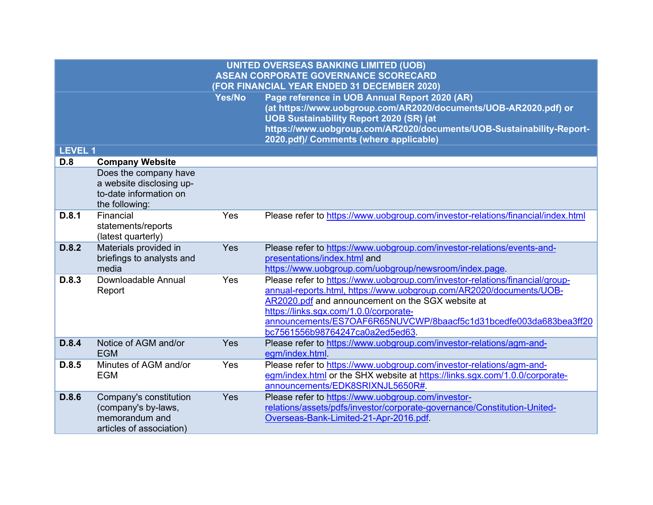|                |                                                                                               |               | <b>UNITED OVERSEAS BANKING LIMITED (UOB)</b><br><b>ASEAN CORPORATE GOVERNANCE SCORECARD</b>                                                                                                                                                                                                                                                               |
|----------------|-----------------------------------------------------------------------------------------------|---------------|-----------------------------------------------------------------------------------------------------------------------------------------------------------------------------------------------------------------------------------------------------------------------------------------------------------------------------------------------------------|
|                |                                                                                               |               | (FOR FINANCIAL YEAR ENDED 31 DECEMBER 2020)                                                                                                                                                                                                                                                                                                               |
|                |                                                                                               | <b>Yes/No</b> | Page reference in UOB Annual Report 2020 (AR)<br>(at https://www.uobgroup.com/AR2020/documents/UOB-AR2020.pdf) or<br><b>UOB Sustainability Report 2020 (SR) (at</b><br>https://www.uobgroup.com/AR2020/documents/UOB-Sustainability-Report-<br>2020.pdf)/ Comments (where applicable)                                                                     |
| <b>LEVEL 1</b> |                                                                                               |               |                                                                                                                                                                                                                                                                                                                                                           |
| D.8            | <b>Company Website</b>                                                                        |               |                                                                                                                                                                                                                                                                                                                                                           |
|                | Does the company have<br>a website disclosing up-<br>to-date information on<br>the following: |               |                                                                                                                                                                                                                                                                                                                                                           |
| D.8.1          | Financial<br>statements/reports<br>(latest quarterly)                                         | Yes           | Please refer to https://www.uobgroup.com/investor-relations/financial/index.html                                                                                                                                                                                                                                                                          |
| D.8.2          | Materials provided in<br>briefings to analysts and<br>media                                   | Yes           | Please refer to https://www.uobgroup.com/investor-relations/events-and-<br>presentations/index.html and<br>https://www.uobgroup.com/uobgroup/newsroom/index.page.                                                                                                                                                                                         |
| D.8.3          | Downloadable Annual<br>Report                                                                 | Yes           | Please refer to https://www.uobgroup.com/investor-relations/financial/group-<br>annual-reports.html, https://www.uobgroup.com/AR2020/documents/UOB-<br>AR2020.pdf and announcement on the SGX website at<br>https://links.sgx.com/1.0.0/corporate-<br>announcements/ES7OAF6R65NUVCWP/8baacf5c1d31bcedfe003da683bea3ff20<br>bc7561556b98764247ca0a2ed5ed63 |
| D.8.4          | Notice of AGM and/or<br><b>EGM</b>                                                            | Yes           | Please refer to https://www.uobgroup.com/investor-relations/agm-and-<br>egm/index.html                                                                                                                                                                                                                                                                    |
| D.8.5          | Minutes of AGM and/or<br><b>EGM</b>                                                           | Yes           | Please refer to https://www.uobgroup.com/investor-relations/agm-and-<br>egm/index.html or the SHX website at https://links.sgx.com/1.0.0/corporate-<br>announcements/EDK8SRIXNJL5650R#.                                                                                                                                                                   |
| D.8.6          | Company's constitution<br>(company's by-laws,<br>memorandum and<br>articles of association)   | Yes           | Please refer to https://www.uobgroup.com/investor-<br>relations/assets/pdfs/investor/corporate-governance/Constitution-United-<br>Overseas-Bank-Limited-21-Apr-2016.pdf                                                                                                                                                                                   |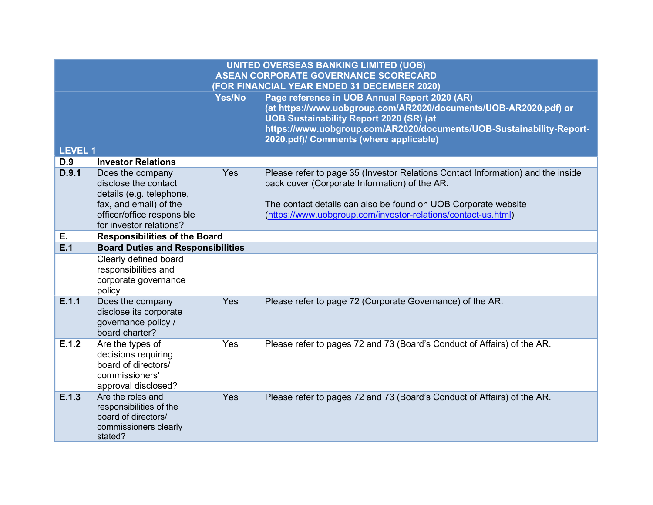|                |                                                                                                         |        | <b>UNITED OVERSEAS BANKING LIMITED (UOB)</b><br><b>ASEAN CORPORATE GOVERNANCE SCORECARD</b><br>(FOR FINANCIAL YEAR ENDED 31 DECEMBER 2020)                                                                                                                                            |
|----------------|---------------------------------------------------------------------------------------------------------|--------|---------------------------------------------------------------------------------------------------------------------------------------------------------------------------------------------------------------------------------------------------------------------------------------|
|                |                                                                                                         | Yes/No | Page reference in UOB Annual Report 2020 (AR)<br>(at https://www.uobgroup.com/AR2020/documents/UOB-AR2020.pdf) or<br><b>UOB Sustainability Report 2020 (SR) (at</b><br>https://www.uobgroup.com/AR2020/documents/UOB-Sustainability-Report-<br>2020.pdf)/ Comments (where applicable) |
| <b>LEVEL 1</b> |                                                                                                         |        |                                                                                                                                                                                                                                                                                       |
| D.9            | <b>Investor Relations</b>                                                                               |        |                                                                                                                                                                                                                                                                                       |
| D.9.1          | Does the company<br>disclose the contact<br>details (e.g. telephone,                                    | Yes    | Please refer to page 35 (Investor Relations Contact Information) and the inside<br>back cover (Corporate Information) of the AR.                                                                                                                                                      |
|                | fax, and email) of the<br>officer/office responsible<br>for investor relations?                         |        | The contact details can also be found on UOB Corporate website<br>(https://www.uobgroup.com/investor-relations/contact-us.html)                                                                                                                                                       |
| Е.             | <b>Responsibilities of the Board</b>                                                                    |        |                                                                                                                                                                                                                                                                                       |
| E.1            | <b>Board Duties and Responsibilities</b>                                                                |        |                                                                                                                                                                                                                                                                                       |
|                | Clearly defined board<br>responsibilities and<br>corporate governance<br>policy                         |        |                                                                                                                                                                                                                                                                                       |
| E.1.1          | Does the company<br>disclose its corporate<br>governance policy /<br>board charter?                     | Yes    | Please refer to page 72 (Corporate Governance) of the AR.                                                                                                                                                                                                                             |
| E.1.2          | Are the types of<br>decisions requiring<br>board of directors/<br>commissioners'<br>approval disclosed? | Yes    | Please refer to pages 72 and 73 (Board's Conduct of Affairs) of the AR.                                                                                                                                                                                                               |
| E.1.3          | Are the roles and<br>responsibilities of the<br>board of directors/<br>commissioners clearly<br>stated? | Yes    | Please refer to pages 72 and 73 (Board's Conduct of Affairs) of the AR.                                                                                                                                                                                                               |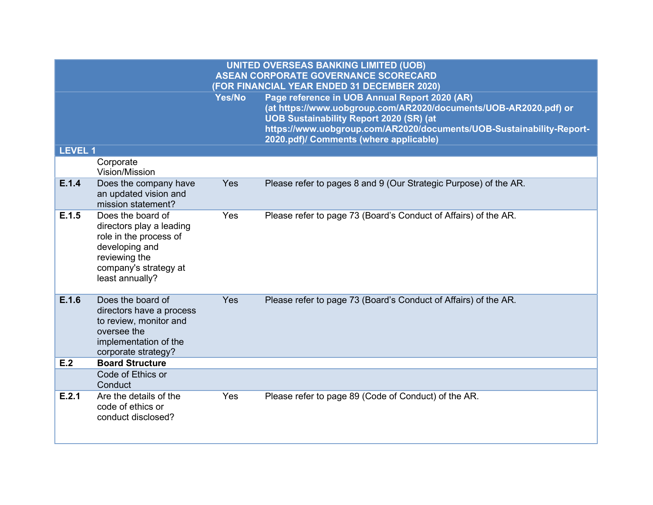|                | <b>UNITED OVERSEAS BANKING LIMITED (UOB)</b><br><b>ASEAN CORPORATE GOVERNANCE SCORECARD</b><br>(FOR FINANCIAL YEAR ENDED 31 DECEMBER 2020)             |        |                                                                                                                                                                                                                                                                                       |
|----------------|--------------------------------------------------------------------------------------------------------------------------------------------------------|--------|---------------------------------------------------------------------------------------------------------------------------------------------------------------------------------------------------------------------------------------------------------------------------------------|
|                |                                                                                                                                                        | Yes/No | Page reference in UOB Annual Report 2020 (AR)<br>(at https://www.uobgroup.com/AR2020/documents/UOB-AR2020.pdf) or<br><b>UOB Sustainability Report 2020 (SR) (at</b><br>https://www.uobgroup.com/AR2020/documents/UOB-Sustainability-Report-<br>2020.pdf)/ Comments (where applicable) |
| <b>LEVEL 1</b> |                                                                                                                                                        |        |                                                                                                                                                                                                                                                                                       |
|                | Corporate<br>Vision/Mission                                                                                                                            |        |                                                                                                                                                                                                                                                                                       |
| E.1.4          | Does the company have<br>an updated vision and<br>mission statement?                                                                                   | Yes    | Please refer to pages 8 and 9 (Our Strategic Purpose) of the AR.                                                                                                                                                                                                                      |
| E.1.5          | Does the board of<br>directors play a leading<br>role in the process of<br>developing and<br>reviewing the<br>company's strategy at<br>least annually? | Yes    | Please refer to page 73 (Board's Conduct of Affairs) of the AR.                                                                                                                                                                                                                       |
| E.1.6          | Does the board of<br>directors have a process<br>to review, monitor and<br>oversee the<br>implementation of the<br>corporate strategy?                 | Yes    | Please refer to page 73 (Board's Conduct of Affairs) of the AR.                                                                                                                                                                                                                       |
| E.2            | <b>Board Structure</b>                                                                                                                                 |        |                                                                                                                                                                                                                                                                                       |
|                | Code of Ethics or<br>Conduct                                                                                                                           |        |                                                                                                                                                                                                                                                                                       |
| E.2.1          | Are the details of the<br>code of ethics or<br>conduct disclosed?                                                                                      | Yes    | Please refer to page 89 (Code of Conduct) of the AR.                                                                                                                                                                                                                                  |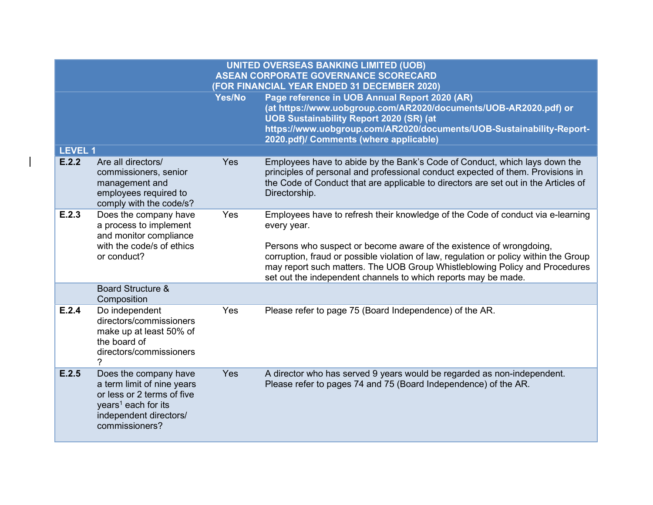|                |                                                                                                                                                                  |            | <b>UNITED OVERSEAS BANKING LIMITED (UOB)</b><br><b>ASEAN CORPORATE GOVERNANCE SCORECARD</b><br>(FOR FINANCIAL YEAR ENDED 31 DECEMBER 2020)                                                                                                                                                                                                                                                                      |
|----------------|------------------------------------------------------------------------------------------------------------------------------------------------------------------|------------|-----------------------------------------------------------------------------------------------------------------------------------------------------------------------------------------------------------------------------------------------------------------------------------------------------------------------------------------------------------------------------------------------------------------|
|                |                                                                                                                                                                  | Yes/No     | Page reference in UOB Annual Report 2020 (AR)<br>(at https://www.uobgroup.com/AR2020/documents/UOB-AR2020.pdf) or<br><b>UOB Sustainability Report 2020 (SR) (at</b><br>https://www.uobgroup.com/AR2020/documents/UOB-Sustainability-Report-<br>2020.pdf)/ Comments (where applicable)                                                                                                                           |
| <b>LEVEL 1</b> |                                                                                                                                                                  |            |                                                                                                                                                                                                                                                                                                                                                                                                                 |
| E.2.2          | Are all directors/<br>commissioners, senior<br>management and<br>employees required to<br>comply with the code/s?                                                | <b>Yes</b> | Employees have to abide by the Bank's Code of Conduct, which lays down the<br>principles of personal and professional conduct expected of them. Provisions in<br>the Code of Conduct that are applicable to directors are set out in the Articles of<br>Directorship.                                                                                                                                           |
| E.2.3          | Does the company have<br>a process to implement<br>and monitor compliance<br>with the code/s of ethics<br>or conduct?                                            | Yes        | Employees have to refresh their knowledge of the Code of conduct via e-learning<br>every year.<br>Persons who suspect or become aware of the existence of wrongdoing,<br>corruption, fraud or possible violation of law, regulation or policy within the Group<br>may report such matters. The UOB Group Whistleblowing Policy and Procedures<br>set out the independent channels to which reports may be made. |
|                | <b>Board Structure &amp;</b><br>Composition                                                                                                                      |            |                                                                                                                                                                                                                                                                                                                                                                                                                 |
| E.2.4          | Do independent<br>directors/commissioners<br>make up at least 50% of<br>the board of<br>directors/commissioners<br>2                                             | Yes        | Please refer to page 75 (Board Independence) of the AR.                                                                                                                                                                                                                                                                                                                                                         |
| E.2.5          | Does the company have<br>a term limit of nine years<br>or less or 2 terms of five<br>years <sup>1</sup> each for its<br>independent directors/<br>commissioners? | Yes        | A director who has served 9 years would be regarded as non-independent.<br>Please refer to pages 74 and 75 (Board Independence) of the AR.                                                                                                                                                                                                                                                                      |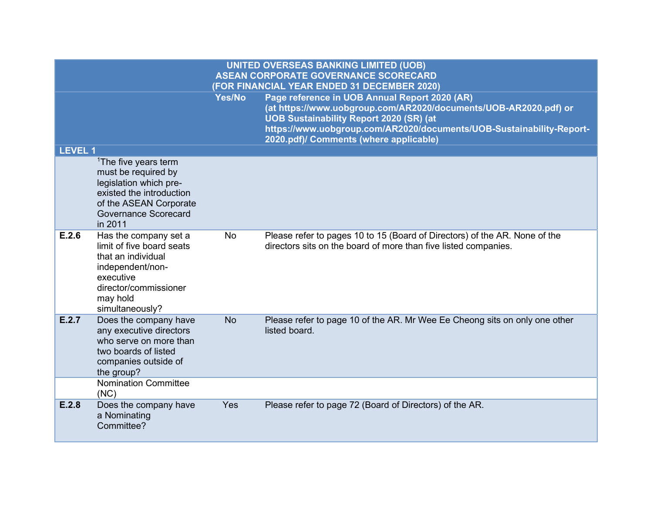|                |                                                                                                                                                                                   |               | <b>UNITED OVERSEAS BANKING LIMITED (UOB)</b><br><b>ASEAN CORPORATE GOVERNANCE SCORECARD</b>                                                                                                                                                                                                                                          |
|----------------|-----------------------------------------------------------------------------------------------------------------------------------------------------------------------------------|---------------|--------------------------------------------------------------------------------------------------------------------------------------------------------------------------------------------------------------------------------------------------------------------------------------------------------------------------------------|
|                |                                                                                                                                                                                   | <b>Yes/No</b> | (FOR FINANCIAL YEAR ENDED 31 DECEMBER 2020)<br>Page reference in UOB Annual Report 2020 (AR)<br>(at https://www.uobgroup.com/AR2020/documents/UOB-AR2020.pdf) or<br><b>UOB Sustainability Report 2020 (SR) (at</b><br>https://www.uobgroup.com/AR2020/documents/UOB-Sustainability-Report-<br>2020.pdf)/ Comments (where applicable) |
| <b>LEVEL 1</b> |                                                                                                                                                                                   |               |                                                                                                                                                                                                                                                                                                                                      |
|                | <sup>1</sup> The five years term<br>must be required by<br>legislation which pre-<br>existed the introduction<br>of the ASEAN Corporate<br><b>Governance Scorecard</b><br>in 2011 |               |                                                                                                                                                                                                                                                                                                                                      |
| E.2.6          | Has the company set a<br>limit of five board seats<br>that an individual<br>independent/non-<br>executive<br>director/commissioner<br>may hold<br>simultaneously?                 | <b>No</b>     | Please refer to pages 10 to 15 (Board of Directors) of the AR. None of the<br>directors sits on the board of more than five listed companies.                                                                                                                                                                                        |
| E.2.7          | Does the company have<br>any executive directors<br>who serve on more than<br>two boards of listed<br>companies outside of<br>the group?<br><b>Nomination Committee</b>           | <b>No</b>     | Please refer to page 10 of the AR. Mr Wee Ee Cheong sits on only one other<br>listed board.                                                                                                                                                                                                                                          |
|                | (NC)                                                                                                                                                                              |               |                                                                                                                                                                                                                                                                                                                                      |
| E.2.8          | Does the company have<br>a Nominating<br>Committee?                                                                                                                               | Yes           | Please refer to page 72 (Board of Directors) of the AR.                                                                                                                                                                                                                                                                              |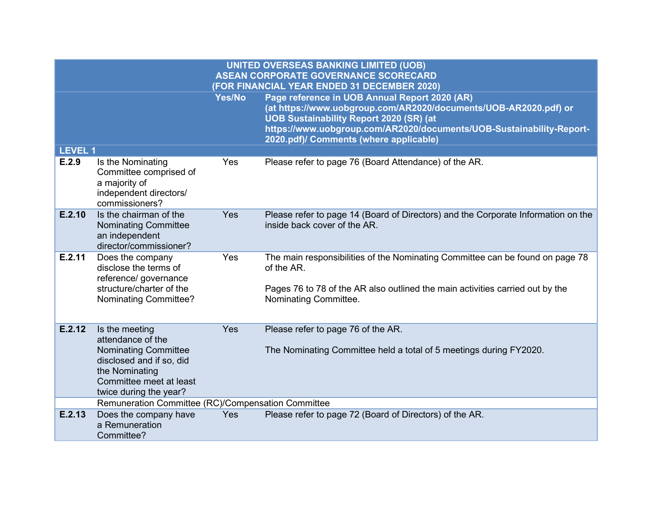|                |                                                                                                                                                                       |            | <b>UNITED OVERSEAS BANKING LIMITED (UOB)</b>                                                                                                                                                                                                                                          |
|----------------|-----------------------------------------------------------------------------------------------------------------------------------------------------------------------|------------|---------------------------------------------------------------------------------------------------------------------------------------------------------------------------------------------------------------------------------------------------------------------------------------|
|                |                                                                                                                                                                       |            | <b>ASEAN CORPORATE GOVERNANCE SCORECARD</b>                                                                                                                                                                                                                                           |
|                |                                                                                                                                                                       |            | (FOR FINANCIAL YEAR ENDED 31 DECEMBER 2020)                                                                                                                                                                                                                                           |
|                |                                                                                                                                                                       | Yes/No     | Page reference in UOB Annual Report 2020 (AR)<br>(at https://www.uobgroup.com/AR2020/documents/UOB-AR2020.pdf) or<br><b>UOB Sustainability Report 2020 (SR) (at</b><br>https://www.uobgroup.com/AR2020/documents/UOB-Sustainability-Report-<br>2020.pdf)/ Comments (where applicable) |
| <b>LEVEL 1</b> |                                                                                                                                                                       |            |                                                                                                                                                                                                                                                                                       |
| E.2.9          | Is the Nominating<br>Committee comprised of<br>a majority of<br>independent directors/<br>commissioners?                                                              | Yes        | Please refer to page 76 (Board Attendance) of the AR.                                                                                                                                                                                                                                 |
| E.2.10         | Is the chairman of the<br><b>Nominating Committee</b><br>an independent<br>director/commissioner?                                                                     | Yes        | Please refer to page 14 (Board of Directors) and the Corporate Information on the<br>inside back cover of the AR.                                                                                                                                                                     |
| E.2.11         | Does the company<br>disclose the terms of<br>reference/ governance<br>structure/charter of the<br><b>Nominating Committee?</b>                                        | Yes        | The main responsibilities of the Nominating Committee can be found on page 78<br>of the AR.<br>Pages 76 to 78 of the AR also outlined the main activities carried out by the<br>Nominating Committee.                                                                                 |
| E.2.12         | Is the meeting<br>attendance of the<br><b>Nominating Committee</b><br>disclosed and if so, did<br>the Nominating<br>Committee meet at least<br>twice during the year? | Yes        | Please refer to page 76 of the AR.<br>The Nominating Committee held a total of 5 meetings during FY2020.                                                                                                                                                                              |
|                | Remuneration Committee (RC)/Compensation Committee                                                                                                                    |            |                                                                                                                                                                                                                                                                                       |
| E.2.13         | Does the company have<br>a Remuneration<br>Committee?                                                                                                                 | <b>Yes</b> | Please refer to page 72 (Board of Directors) of the AR.                                                                                                                                                                                                                               |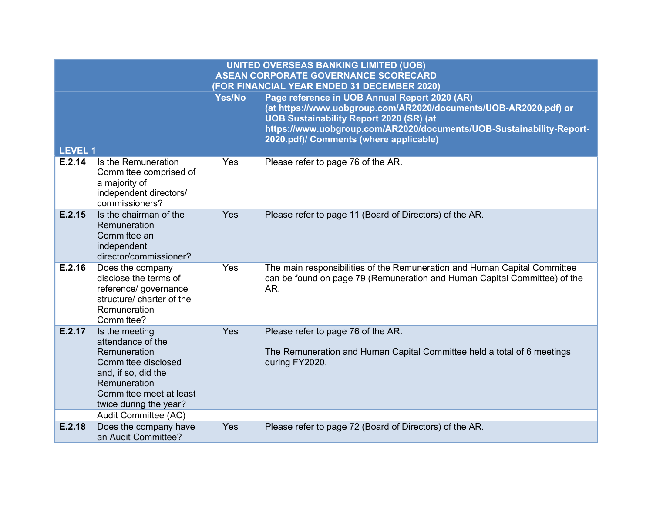|                |                                                                                                                                                                        |        | <b>UNITED OVERSEAS BANKING LIMITED (UOB)</b><br><b>ASEAN CORPORATE GOVERNANCE SCORECARD</b>                                                                                                                                                                                           |
|----------------|------------------------------------------------------------------------------------------------------------------------------------------------------------------------|--------|---------------------------------------------------------------------------------------------------------------------------------------------------------------------------------------------------------------------------------------------------------------------------------------|
|                |                                                                                                                                                                        |        | (FOR FINANCIAL YEAR ENDED 31 DECEMBER 2020)                                                                                                                                                                                                                                           |
|                |                                                                                                                                                                        | Yes/No | Page reference in UOB Annual Report 2020 (AR)<br>(at https://www.uobgroup.com/AR2020/documents/UOB-AR2020.pdf) or<br><b>UOB Sustainability Report 2020 (SR) (at</b><br>https://www.uobgroup.com/AR2020/documents/UOB-Sustainability-Report-<br>2020.pdf)/ Comments (where applicable) |
| <b>LEVEL 1</b> |                                                                                                                                                                        |        |                                                                                                                                                                                                                                                                                       |
| E.2.14         | Is the Remuneration<br>Committee comprised of<br>a majority of<br>independent directors/<br>commissioners?                                                             | Yes    | Please refer to page 76 of the AR.                                                                                                                                                                                                                                                    |
| E.2.15         | Is the chairman of the<br>Remuneration<br>Committee an<br>independent<br>director/commissioner?                                                                        | Yes    | Please refer to page 11 (Board of Directors) of the AR.                                                                                                                                                                                                                               |
| E.2.16         | Does the company<br>disclose the terms of<br>reference/ governance<br>structure/ charter of the<br>Remuneration<br>Committee?                                          | Yes    | The main responsibilities of the Remuneration and Human Capital Committee<br>can be found on page 79 (Remuneration and Human Capital Committee) of the<br>AR.                                                                                                                         |
| E.2.17         | Is the meeting<br>attendance of the<br>Remuneration<br>Committee disclosed<br>and, if so, did the<br>Remuneration<br>Committee meet at least<br>twice during the year? | Yes    | Please refer to page 76 of the AR.<br>The Remuneration and Human Capital Committee held a total of 6 meetings<br>during FY2020.                                                                                                                                                       |
|                | Audit Committee (AC)                                                                                                                                                   |        |                                                                                                                                                                                                                                                                                       |
| E.2.18         | Does the company have<br>an Audit Committee?                                                                                                                           | Yes    | Please refer to page 72 (Board of Directors) of the AR.                                                                                                                                                                                                                               |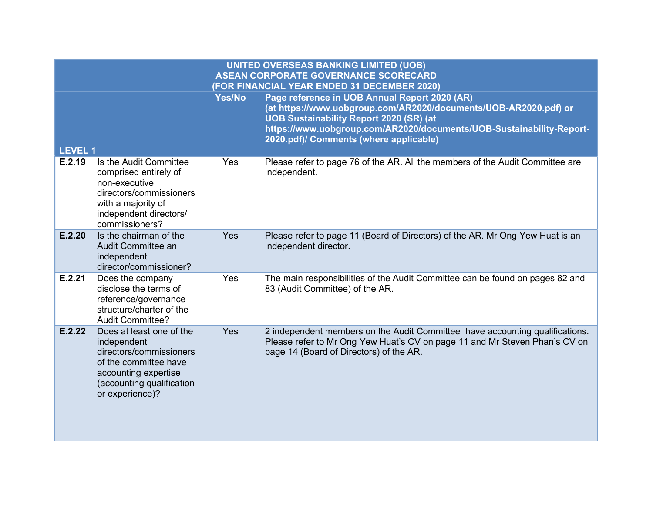|         |                                                                                                                                                                     |        | <b>UNITED OVERSEAS BANKING LIMITED (UOB)</b><br><b>ASEAN CORPORATE GOVERNANCE SCORECARD</b><br>(FOR FINANCIAL YEAR ENDED 31 DECEMBER 2020)                                                                                                                                            |
|---------|---------------------------------------------------------------------------------------------------------------------------------------------------------------------|--------|---------------------------------------------------------------------------------------------------------------------------------------------------------------------------------------------------------------------------------------------------------------------------------------|
|         |                                                                                                                                                                     | Yes/No | Page reference in UOB Annual Report 2020 (AR)<br>(at https://www.uobgroup.com/AR2020/documents/UOB-AR2020.pdf) or<br><b>UOB Sustainability Report 2020 (SR) (at</b><br>https://www.uobgroup.com/AR2020/documents/UOB-Sustainability-Report-<br>2020.pdf)/ Comments (where applicable) |
| LEVEL 1 |                                                                                                                                                                     |        |                                                                                                                                                                                                                                                                                       |
| E.2.19  | Is the Audit Committee<br>comprised entirely of<br>non-executive<br>directors/commissioners<br>with a majority of<br>independent directors/<br>commissioners?       | Yes    | Please refer to page 76 of the AR. All the members of the Audit Committee are<br>independent.                                                                                                                                                                                         |
| E.2.20  | Is the chairman of the<br>Audit Committee an<br>independent<br>director/commissioner?                                                                               | Yes    | Please refer to page 11 (Board of Directors) of the AR. Mr Ong Yew Huat is an<br>independent director.                                                                                                                                                                                |
| E.2.21  | Does the company<br>disclose the terms of<br>reference/governance<br>structure/charter of the<br><b>Audit Committee?</b>                                            | Yes    | The main responsibilities of the Audit Committee can be found on pages 82 and<br>83 (Audit Committee) of the AR.                                                                                                                                                                      |
| E.2.22  | Does at least one of the<br>independent<br>directors/commissioners<br>of the committee have<br>accounting expertise<br>(accounting qualification<br>or experience)? | Yes    | 2 independent members on the Audit Committee have accounting qualifications.<br>Please refer to Mr Ong Yew Huat's CV on page 11 and Mr Steven Phan's CV on<br>page 14 (Board of Directors) of the AR.                                                                                 |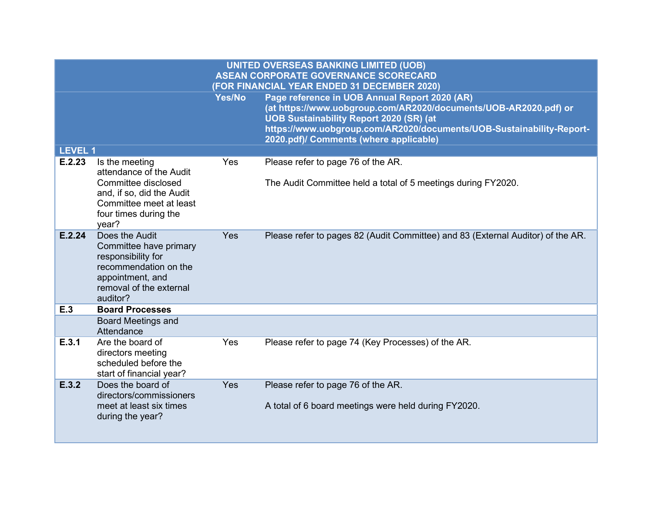|                |                                                                                                                                                            |        | <b>UNITED OVERSEAS BANKING LIMITED (UOB)</b>                                                                                                                                                                                                                                          |
|----------------|------------------------------------------------------------------------------------------------------------------------------------------------------------|--------|---------------------------------------------------------------------------------------------------------------------------------------------------------------------------------------------------------------------------------------------------------------------------------------|
|                |                                                                                                                                                            |        | <b>ASEAN CORPORATE GOVERNANCE SCORECARD</b>                                                                                                                                                                                                                                           |
|                |                                                                                                                                                            |        | (FOR FINANCIAL YEAR ENDED 31 DECEMBER 2020)                                                                                                                                                                                                                                           |
|                |                                                                                                                                                            | Yes/No | Page reference in UOB Annual Report 2020 (AR)<br>(at https://www.uobgroup.com/AR2020/documents/UOB-AR2020.pdf) or<br><b>UOB Sustainability Report 2020 (SR) (at</b><br>https://www.uobgroup.com/AR2020/documents/UOB-Sustainability-Report-<br>2020.pdf)/ Comments (where applicable) |
| <b>LEVEL 1</b> |                                                                                                                                                            |        |                                                                                                                                                                                                                                                                                       |
| E.2.23         | Is the meeting<br>attendance of the Audit<br>Committee disclosed<br>and, if so, did the Audit<br>Committee meet at least<br>four times during the<br>year? | Yes    | Please refer to page 76 of the AR.<br>The Audit Committee held a total of 5 meetings during FY2020.                                                                                                                                                                                   |
| E.2.24         | Does the Audit<br>Committee have primary<br>responsibility for<br>recommendation on the<br>appointment, and<br>removal of the external<br>auditor?         | Yes    | Please refer to pages 82 (Audit Committee) and 83 (External Auditor) of the AR.                                                                                                                                                                                                       |
| E.3            | <b>Board Processes</b>                                                                                                                                     |        |                                                                                                                                                                                                                                                                                       |
|                | <b>Board Meetings and</b><br>Attendance                                                                                                                    |        |                                                                                                                                                                                                                                                                                       |
| E.3.1          | Are the board of<br>directors meeting<br>scheduled before the<br>start of financial year?                                                                  | Yes    | Please refer to page 74 (Key Processes) of the AR.                                                                                                                                                                                                                                    |
| E.3.2          | Does the board of<br>directors/commissioners<br>meet at least six times<br>during the year?                                                                | Yes    | Please refer to page 76 of the AR.<br>A total of 6 board meetings were held during FY2020.                                                                                                                                                                                            |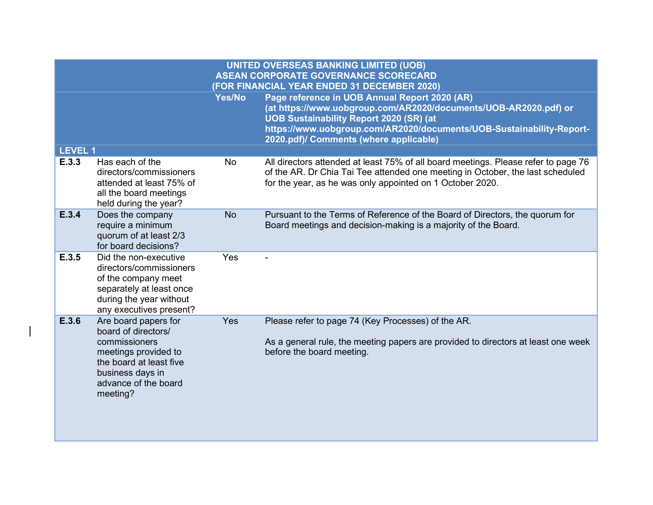|                |                                                                                                                                                                         |           | <b>UNITED OVERSEAS BANKING LIMITED (UOB)</b><br><b>ASEAN CORPORATE GOVERNANCE SCORECARD</b><br>(FOR FINANCIAL YEAR ENDED 31 DECEMBER 2020)                                                                                                                                     |
|----------------|-------------------------------------------------------------------------------------------------------------------------------------------------------------------------|-----------|--------------------------------------------------------------------------------------------------------------------------------------------------------------------------------------------------------------------------------------------------------------------------------|
|                |                                                                                                                                                                         | Yes/No    | Page reference in UOB Annual Report 2020 (AR)<br>(at https://www.uobgroup.com/AR2020/documents/UOB-AR2020.pdf) or<br>UOB Sustainability Report 2020 (SR) (at<br>https://www.uobgroup.com/AR2020/documents/UOB-Sustainability-Report-<br>2020.pdf)/ Comments (where applicable) |
| <b>LEVEL 1</b> |                                                                                                                                                                         |           |                                                                                                                                                                                                                                                                                |
| E.3.3          | Has each of the<br>directors/commissioners<br>attended at least 75% of<br>all the board meetings<br>held during the year?                                               | <b>No</b> | All directors attended at least 75% of all board meetings. Please refer to page 76<br>of the AR. Dr Chia Tai Tee attended one meeting in October, the last scheduled<br>for the year, as he was only appointed on 1 October 2020.                                              |
| E.3.4          | Does the company<br>require a minimum<br>quorum of at least 2/3<br>for board decisions?                                                                                 | <b>No</b> | Pursuant to the Terms of Reference of the Board of Directors, the quorum for<br>Board meetings and decision-making is a majority of the Board.                                                                                                                                 |
| E.3.5          | Did the non-executive<br>directors/commissioners<br>of the company meet<br>separately at least once<br>during the year without<br>any executives present?               | Yes       |                                                                                                                                                                                                                                                                                |
| E.3.6          | Are board papers for<br>board of directors/<br>commissioners<br>meetings provided to<br>the board at least five<br>business days in<br>advance of the board<br>meeting? | Yes       | Please refer to page 74 (Key Processes) of the AR.<br>As a general rule, the meeting papers are provided to directors at least one week<br>before the board meeting.                                                                                                           |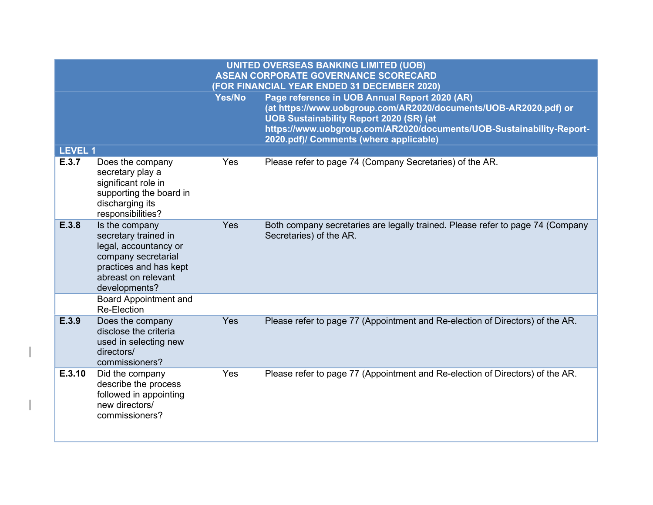|                |                                                                                                                                                          |        | <b>UNITED OVERSEAS BANKING LIMITED (UOB)</b><br><b>ASEAN CORPORATE GOVERNANCE SCORECARD</b>                                                                                                                                                                                           |
|----------------|----------------------------------------------------------------------------------------------------------------------------------------------------------|--------|---------------------------------------------------------------------------------------------------------------------------------------------------------------------------------------------------------------------------------------------------------------------------------------|
|                |                                                                                                                                                          |        | (FOR FINANCIAL YEAR ENDED 31 DECEMBER 2020)                                                                                                                                                                                                                                           |
|                |                                                                                                                                                          | Yes/No | Page reference in UOB Annual Report 2020 (AR)<br>(at https://www.uobgroup.com/AR2020/documents/UOB-AR2020.pdf) or<br><b>UOB Sustainability Report 2020 (SR) (at</b><br>https://www.uobgroup.com/AR2020/documents/UOB-Sustainability-Report-<br>2020.pdf)/ Comments (where applicable) |
| <b>LEVEL 1</b> |                                                                                                                                                          |        |                                                                                                                                                                                                                                                                                       |
| E.3.7          | Does the company<br>secretary play a<br>significant role in<br>supporting the board in<br>discharging its<br>responsibilities?                           | Yes    | Please refer to page 74 (Company Secretaries) of the AR.                                                                                                                                                                                                                              |
| E.3.8          | Is the company<br>secretary trained in<br>legal, accountancy or<br>company secretarial<br>practices and has kept<br>abreast on relevant<br>developments? | Yes    | Both company secretaries are legally trained. Please refer to page 74 (Company<br>Secretaries) of the AR.                                                                                                                                                                             |
|                | <b>Board Appointment and</b><br><b>Re-Election</b>                                                                                                       |        |                                                                                                                                                                                                                                                                                       |
| E.3.9          | Does the company<br>disclose the criteria<br>used in selecting new<br>directors/<br>commissioners?                                                       | Yes    | Please refer to page 77 (Appointment and Re-election of Directors) of the AR.                                                                                                                                                                                                         |
| E.3.10         | Did the company<br>describe the process<br>followed in appointing<br>new directors/<br>commissioners?                                                    | Yes    | Please refer to page 77 (Appointment and Re-election of Directors) of the AR.                                                                                                                                                                                                         |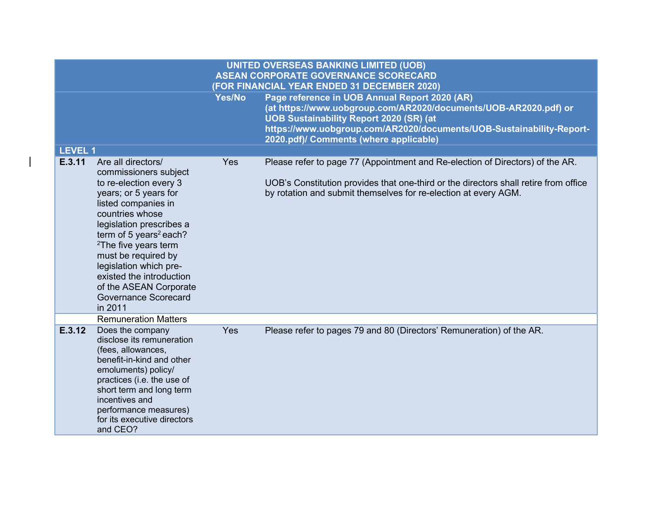|                |                                                                                                                                                                                                                                                                                                                                                                             |            | <b>UNITED OVERSEAS BANKING LIMITED (UOB)</b><br><b>ASEAN CORPORATE GOVERNANCE SCORECARD</b><br>(FOR FINANCIAL YEAR ENDED 31 DECEMBER 2020)                                                                                                                                            |
|----------------|-----------------------------------------------------------------------------------------------------------------------------------------------------------------------------------------------------------------------------------------------------------------------------------------------------------------------------------------------------------------------------|------------|---------------------------------------------------------------------------------------------------------------------------------------------------------------------------------------------------------------------------------------------------------------------------------------|
|                |                                                                                                                                                                                                                                                                                                                                                                             | Yes/No     | Page reference in UOB Annual Report 2020 (AR)<br>(at https://www.uobgroup.com/AR2020/documents/UOB-AR2020.pdf) or<br><b>UOB Sustainability Report 2020 (SR) (at</b><br>https://www.uobgroup.com/AR2020/documents/UOB-Sustainability-Report-<br>2020.pdf)/ Comments (where applicable) |
| <b>LEVEL 1</b> |                                                                                                                                                                                                                                                                                                                                                                             |            |                                                                                                                                                                                                                                                                                       |
| E.3.11         | Are all directors/<br>commissioners subject<br>to re-election every 3<br>years; or 5 years for<br>listed companies in<br>countries whose<br>legislation prescribes a<br>term of 5 years <sup>2</sup> each?<br>$2$ The five years term<br>must be required by<br>legislation which pre-<br>existed the introduction<br>of the ASEAN Corporate<br><b>Governance Scorecard</b> | <b>Yes</b> | Please refer to page 77 (Appointment and Re-election of Directors) of the AR.<br>UOB's Constitution provides that one-third or the directors shall retire from office<br>by rotation and submit themselves for re-election at every AGM.                                              |
|                | in 2011                                                                                                                                                                                                                                                                                                                                                                     |            |                                                                                                                                                                                                                                                                                       |
|                | <b>Remuneration Matters</b>                                                                                                                                                                                                                                                                                                                                                 |            |                                                                                                                                                                                                                                                                                       |
| E.3.12         | Does the company<br>disclose its remuneration<br>(fees, allowances,<br>benefit-in-kind and other<br>emoluments) policy/<br>practices (i.e. the use of<br>short term and long term<br>incentives and<br>performance measures)<br>for its executive directors<br>and CEO?                                                                                                     | Yes        | Please refer to pages 79 and 80 (Directors' Remuneration) of the AR.                                                                                                                                                                                                                  |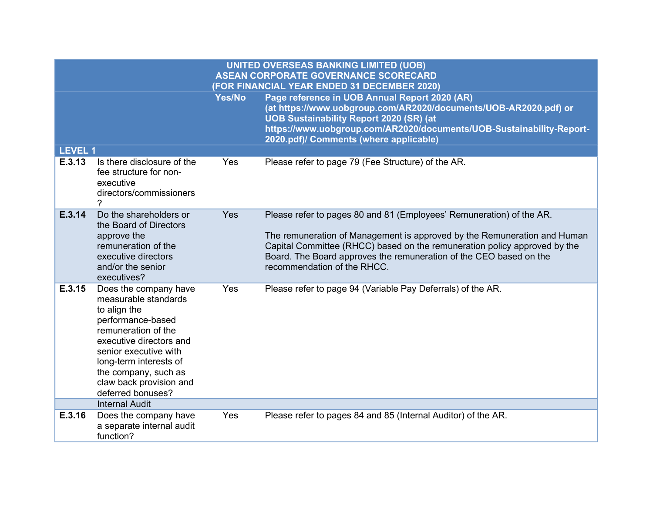|                |                                                                                                                                                                                                                                                                 |        | <b>UNITED OVERSEAS BANKING LIMITED (UOB)</b><br><b>ASEAN CORPORATE GOVERNANCE SCORECARD</b>                                                                                                                                                                                                                                        |
|----------------|-----------------------------------------------------------------------------------------------------------------------------------------------------------------------------------------------------------------------------------------------------------------|--------|------------------------------------------------------------------------------------------------------------------------------------------------------------------------------------------------------------------------------------------------------------------------------------------------------------------------------------|
|                |                                                                                                                                                                                                                                                                 |        | (FOR FINANCIAL YEAR ENDED 31 DECEMBER 2020)                                                                                                                                                                                                                                                                                        |
|                |                                                                                                                                                                                                                                                                 | Yes/No | Page reference in UOB Annual Report 2020 (AR)<br>(at https://www.uobgroup.com/AR2020/documents/UOB-AR2020.pdf) or<br><b>UOB Sustainability Report 2020 (SR) (at</b><br>https://www.uobgroup.com/AR2020/documents/UOB-Sustainability-Report-<br>2020.pdf)/ Comments (where applicable)                                              |
| <b>LEVEL 1</b> |                                                                                                                                                                                                                                                                 |        |                                                                                                                                                                                                                                                                                                                                    |
| E.3.13         | Is there disclosure of the<br>fee structure for non-<br>executive<br>directors/commissioners<br>?                                                                                                                                                               | Yes    | Please refer to page 79 (Fee Structure) of the AR.                                                                                                                                                                                                                                                                                 |
| E.3.14         | Do the shareholders or<br>the Board of Directors<br>approve the<br>remuneration of the<br>executive directors<br>and/or the senior<br>executives?                                                                                                               | Yes    | Please refer to pages 80 and 81 (Employees' Remuneration) of the AR.<br>The remuneration of Management is approved by the Remuneration and Human<br>Capital Committee (RHCC) based on the remuneration policy approved by the<br>Board. The Board approves the remuneration of the CEO based on the<br>recommendation of the RHCC. |
| E.3.15         | Does the company have<br>measurable standards<br>to align the<br>performance-based<br>remuneration of the<br>executive directors and<br>senior executive with<br>long-term interests of<br>the company, such as<br>claw back provision and<br>deferred bonuses? | Yes    | Please refer to page 94 (Variable Pay Deferrals) of the AR.                                                                                                                                                                                                                                                                        |
|                | <b>Internal Audit</b>                                                                                                                                                                                                                                           |        |                                                                                                                                                                                                                                                                                                                                    |
| E.3.16         | Does the company have<br>a separate internal audit<br>function?                                                                                                                                                                                                 | Yes    | Please refer to pages 84 and 85 (Internal Auditor) of the AR.                                                                                                                                                                                                                                                                      |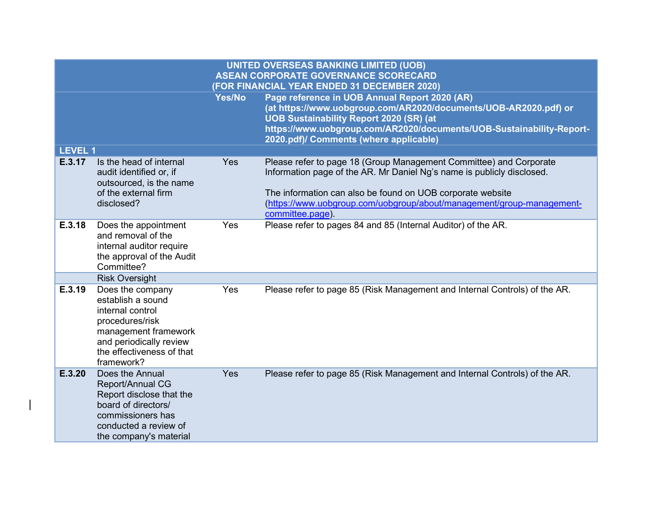|                |                                                                                                                                                                            |            | <b>UNITED OVERSEAS BANKING LIMITED (UOB)</b>                                                                                                                                                                                                                                                            |
|----------------|----------------------------------------------------------------------------------------------------------------------------------------------------------------------------|------------|---------------------------------------------------------------------------------------------------------------------------------------------------------------------------------------------------------------------------------------------------------------------------------------------------------|
|                |                                                                                                                                                                            |            | <b>ASEAN CORPORATE GOVERNANCE SCORECARD</b>                                                                                                                                                                                                                                                             |
|                |                                                                                                                                                                            |            | (FOR FINANCIAL YEAR ENDED 31 DECEMBER 2020)                                                                                                                                                                                                                                                             |
|                |                                                                                                                                                                            | Yes/No     | Page reference in UOB Annual Report 2020 (AR)<br>(at https://www.uobgroup.com/AR2020/documents/UOB-AR2020.pdf) or<br><b>UOB Sustainability Report 2020 (SR) (at</b><br>https://www.uobgroup.com/AR2020/documents/UOB-Sustainability-Report-<br>2020.pdf)/ Comments (where applicable)                   |
| <b>LEVEL 1</b> |                                                                                                                                                                            |            |                                                                                                                                                                                                                                                                                                         |
| E.3.17         | Is the head of internal<br>audit identified or, if<br>outsourced, is the name<br>of the external firm<br>disclosed?                                                        | <b>Yes</b> | Please refer to page 18 (Group Management Committee) and Corporate<br>Information page of the AR. Mr Daniel Ng's name is publicly disclosed.<br>The information can also be found on UOB corporate website<br>(https://www.uobgroup.com/uobgroup/about/management/group-management-<br>committee.page). |
| E.3.18         | Does the appointment<br>and removal of the<br>internal auditor require<br>the approval of the Audit<br>Committee?                                                          | Yes        | Please refer to pages 84 and 85 (Internal Auditor) of the AR.                                                                                                                                                                                                                                           |
|                | <b>Risk Oversight</b>                                                                                                                                                      |            |                                                                                                                                                                                                                                                                                                         |
| E.3.19         | Does the company<br>establish a sound<br>internal control<br>procedures/risk<br>management framework<br>and periodically review<br>the effectiveness of that<br>framework? | Yes        | Please refer to page 85 (Risk Management and Internal Controls) of the AR.                                                                                                                                                                                                                              |
| E.3.20         | Does the Annual<br>Report/Annual CG<br>Report disclose that the<br>board of directors/<br>commissioners has<br>conducted a review of<br>the company's material             | Yes        | Please refer to page 85 (Risk Management and Internal Controls) of the AR.                                                                                                                                                                                                                              |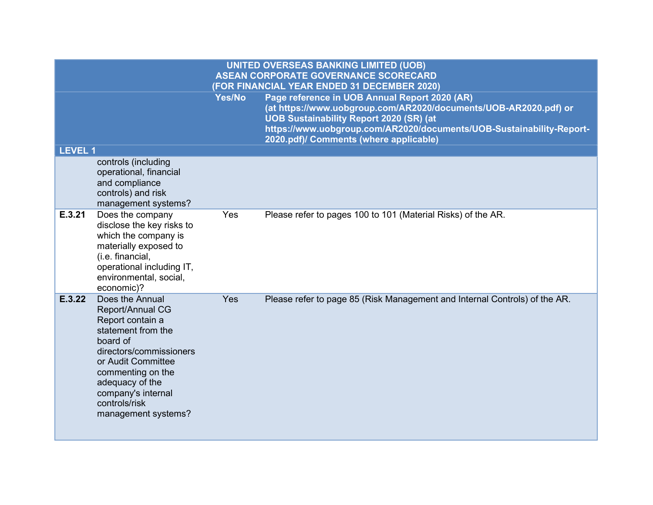|                |                                                                                                                                                                                                                                                  |        | <b>UNITED OVERSEAS BANKING LIMITED (UOB)</b><br><b>ASEAN CORPORATE GOVERNANCE SCORECARD</b><br>(FOR FINANCIAL YEAR ENDED 31 DECEMBER 2020)                                                                                                                                            |
|----------------|--------------------------------------------------------------------------------------------------------------------------------------------------------------------------------------------------------------------------------------------------|--------|---------------------------------------------------------------------------------------------------------------------------------------------------------------------------------------------------------------------------------------------------------------------------------------|
|                |                                                                                                                                                                                                                                                  | Yes/No | Page reference in UOB Annual Report 2020 (AR)<br>(at https://www.uobgroup.com/AR2020/documents/UOB-AR2020.pdf) or<br><b>UOB Sustainability Report 2020 (SR) (at</b><br>https://www.uobgroup.com/AR2020/documents/UOB-Sustainability-Report-<br>2020.pdf)/ Comments (where applicable) |
| <b>LEVEL 1</b> |                                                                                                                                                                                                                                                  |        |                                                                                                                                                                                                                                                                                       |
|                | controls (including<br>operational, financial<br>and compliance<br>controls) and risk<br>management systems?                                                                                                                                     |        |                                                                                                                                                                                                                                                                                       |
| E.3.21         | Does the company<br>disclose the key risks to<br>which the company is<br>materially exposed to<br>(i.e. financial,<br>operational including IT,<br>environmental, social,<br>economic)?                                                          | Yes    | Please refer to pages 100 to 101 (Material Risks) of the AR.                                                                                                                                                                                                                          |
| E.3.22         | Does the Annual<br>Report/Annual CG<br>Report contain a<br>statement from the<br>board of<br>directors/commissioners<br>or Audit Committee<br>commenting on the<br>adequacy of the<br>company's internal<br>controls/risk<br>management systems? | Yes    | Please refer to page 85 (Risk Management and Internal Controls) of the AR.                                                                                                                                                                                                            |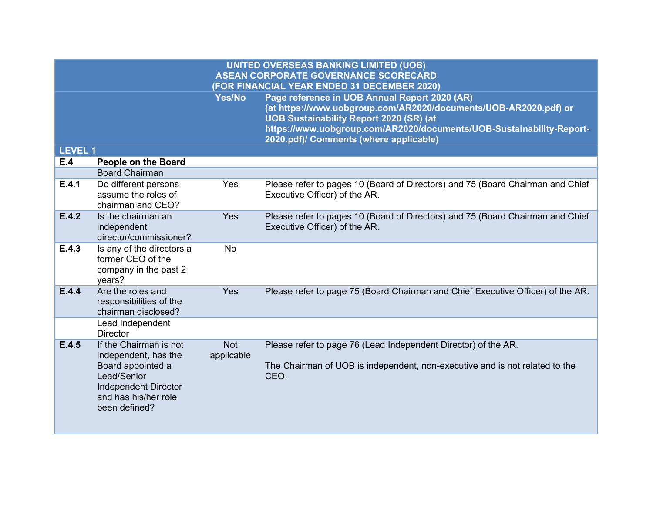| <b>UNITED OVERSEAS BANKING LIMITED (UOB)</b><br><b>ASEAN CORPORATE GOVERNANCE SCORECARD</b> |                                                                                                                                                            |                          |                                                                                                                                                                                                                                                                                       |  |  |
|---------------------------------------------------------------------------------------------|------------------------------------------------------------------------------------------------------------------------------------------------------------|--------------------------|---------------------------------------------------------------------------------------------------------------------------------------------------------------------------------------------------------------------------------------------------------------------------------------|--|--|
| (FOR FINANCIAL YEAR ENDED 31 DECEMBER 2020)                                                 |                                                                                                                                                            |                          |                                                                                                                                                                                                                                                                                       |  |  |
|                                                                                             |                                                                                                                                                            | Yes/No                   | Page reference in UOB Annual Report 2020 (AR)<br>(at https://www.uobgroup.com/AR2020/documents/UOB-AR2020.pdf) or<br><b>UOB Sustainability Report 2020 (SR) (at</b><br>https://www.uobgroup.com/AR2020/documents/UOB-Sustainability-Report-<br>2020.pdf)/ Comments (where applicable) |  |  |
| <b>LEVEL 1</b>                                                                              |                                                                                                                                                            |                          |                                                                                                                                                                                                                                                                                       |  |  |
| E.4                                                                                         | <b>People on the Board</b>                                                                                                                                 |                          |                                                                                                                                                                                                                                                                                       |  |  |
|                                                                                             | <b>Board Chairman</b>                                                                                                                                      |                          |                                                                                                                                                                                                                                                                                       |  |  |
| E.4.1                                                                                       | Do different persons<br>assume the roles of<br>chairman and CEO?                                                                                           | Yes                      | Please refer to pages 10 (Board of Directors) and 75 (Board Chairman and Chief<br>Executive Officer) of the AR.                                                                                                                                                                       |  |  |
| E.4.2                                                                                       | Is the chairman an<br>independent<br>director/commissioner?                                                                                                | Yes                      | Please refer to pages 10 (Board of Directors) and 75 (Board Chairman and Chief<br>Executive Officer) of the AR.                                                                                                                                                                       |  |  |
| E.4.3                                                                                       | Is any of the directors a<br>former CEO of the<br>company in the past 2<br>years?                                                                          | No                       |                                                                                                                                                                                                                                                                                       |  |  |
| E.4.4                                                                                       | Are the roles and<br>responsibilities of the<br>chairman disclosed?                                                                                        | Yes                      | Please refer to page 75 (Board Chairman and Chief Executive Officer) of the AR.                                                                                                                                                                                                       |  |  |
|                                                                                             | Lead Independent<br><b>Director</b>                                                                                                                        |                          |                                                                                                                                                                                                                                                                                       |  |  |
| E.4.5                                                                                       | If the Chairman is not<br>independent, has the<br>Board appointed a<br>Lead/Senior<br><b>Independent Director</b><br>and has his/her role<br>been defined? | <b>Not</b><br>applicable | Please refer to page 76 (Lead Independent Director) of the AR.<br>The Chairman of UOB is independent, non-executive and is not related to the<br>CEO.                                                                                                                                 |  |  |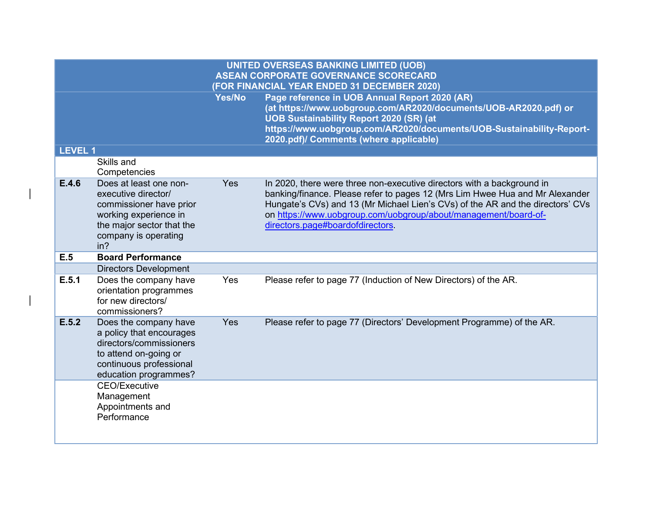|                | <b>UNITED OVERSEAS BANKING LIMITED (UOB)</b><br><b>ASEAN CORPORATE GOVERNANCE SCORECARD</b><br>(FOR FINANCIAL YEAR ENDED 31 DECEMBER 2020)                    |        |                                                                                                                                                                                                                                                                                                                                                 |  |  |  |
|----------------|---------------------------------------------------------------------------------------------------------------------------------------------------------------|--------|-------------------------------------------------------------------------------------------------------------------------------------------------------------------------------------------------------------------------------------------------------------------------------------------------------------------------------------------------|--|--|--|
|                |                                                                                                                                                               | Yes/No | Page reference in UOB Annual Report 2020 (AR)<br>(at https://www.uobgroup.com/AR2020/documents/UOB-AR2020.pdf) or<br>UOB Sustainability Report 2020 (SR) (at<br>https://www.uobgroup.com/AR2020/documents/UOB-Sustainability-Report-<br>2020.pdf)/ Comments (where applicable)                                                                  |  |  |  |
| <b>LEVEL 1</b> |                                                                                                                                                               |        |                                                                                                                                                                                                                                                                                                                                                 |  |  |  |
|                | Skills and<br>Competencies                                                                                                                                    |        |                                                                                                                                                                                                                                                                                                                                                 |  |  |  |
| E.4.6          | Does at least one non-<br>executive director/<br>commissioner have prior<br>working experience in<br>the major sector that the<br>company is operating<br>in? | Yes    | In 2020, there were three non-executive directors with a background in<br>banking/finance. Please refer to pages 12 (Mrs Lim Hwee Hua and Mr Alexander<br>Hungate's CVs) and 13 (Mr Michael Lien's CVs) of the AR and the directors' CVs<br>on https://www.uobgroup.com/uobgroup/about/management/board-of-<br>directors.page#boardofdirectors. |  |  |  |
| E.5            | <b>Board Performance</b>                                                                                                                                      |        |                                                                                                                                                                                                                                                                                                                                                 |  |  |  |
|                | <b>Directors Development</b>                                                                                                                                  |        |                                                                                                                                                                                                                                                                                                                                                 |  |  |  |
| E.5.1          | Does the company have<br>orientation programmes<br>for new directors/<br>commissioners?                                                                       | Yes    | Please refer to page 77 (Induction of New Directors) of the AR.                                                                                                                                                                                                                                                                                 |  |  |  |
| E.5.2          | Does the company have<br>a policy that encourages<br>directors/commissioners<br>to attend on-going or<br>continuous professional<br>education programmes?     | Yes    | Please refer to page 77 (Directors' Development Programme) of the AR.                                                                                                                                                                                                                                                                           |  |  |  |
|                | <b>CEO/Executive</b><br>Management<br>Appointments and<br>Performance                                                                                         |        |                                                                                                                                                                                                                                                                                                                                                 |  |  |  |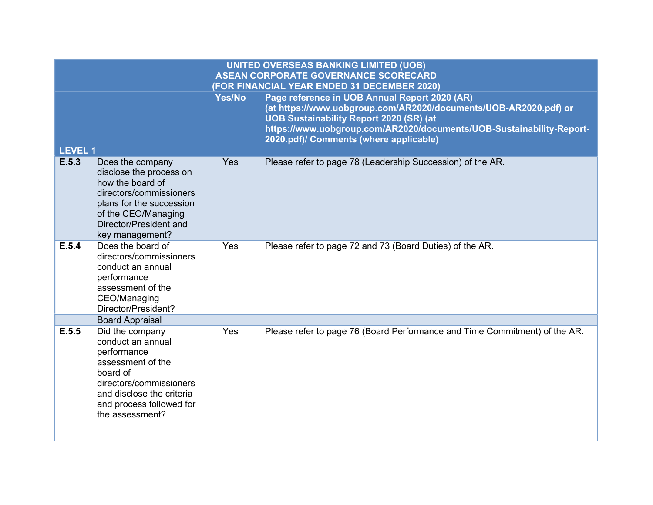|                | <b>UNITED OVERSEAS BANKING LIMITED (UOB)</b><br><b>ASEAN CORPORATE GOVERNANCE SCORECARD</b><br>(FOR FINANCIAL YEAR ENDED 31 DECEMBER 2020)                                                  |        |                                                                                                                                                                                                                                                                                       |  |  |  |
|----------------|---------------------------------------------------------------------------------------------------------------------------------------------------------------------------------------------|--------|---------------------------------------------------------------------------------------------------------------------------------------------------------------------------------------------------------------------------------------------------------------------------------------|--|--|--|
|                |                                                                                                                                                                                             | Yes/No | Page reference in UOB Annual Report 2020 (AR)<br>(at https://www.uobgroup.com/AR2020/documents/UOB-AR2020.pdf) or<br><b>UOB Sustainability Report 2020 (SR) (at</b><br>https://www.uobgroup.com/AR2020/documents/UOB-Sustainability-Report-<br>2020.pdf)/ Comments (where applicable) |  |  |  |
| <b>LEVEL 1</b> |                                                                                                                                                                                             |        |                                                                                                                                                                                                                                                                                       |  |  |  |
| E.5.3          | Does the company<br>disclose the process on<br>how the board of<br>directors/commissioners<br>plans for the succession<br>of the CEO/Managing<br>Director/President and<br>key management?  | Yes    | Please refer to page 78 (Leadership Succession) of the AR.                                                                                                                                                                                                                            |  |  |  |
| E.5.4          | Does the board of<br>directors/commissioners<br>conduct an annual<br>performance<br>assessment of the<br>CEO/Managing<br>Director/President?                                                | Yes    | Please refer to page 72 and 73 (Board Duties) of the AR.                                                                                                                                                                                                                              |  |  |  |
|                | <b>Board Appraisal</b>                                                                                                                                                                      |        |                                                                                                                                                                                                                                                                                       |  |  |  |
| E.5.5          | Did the company<br>conduct an annual<br>performance<br>assessment of the<br>board of<br>directors/commissioners<br>and disclose the criteria<br>and process followed for<br>the assessment? | Yes    | Please refer to page 76 (Board Performance and Time Commitment) of the AR.                                                                                                                                                                                                            |  |  |  |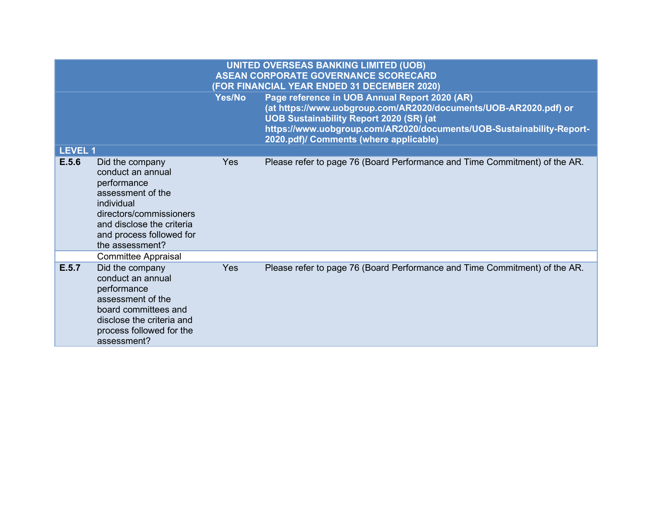|                | <b>UNITED OVERSEAS BANKING LIMITED (UOB)</b><br><b>ASEAN CORPORATE GOVERNANCE SCORECARD</b><br>(FOR FINANCIAL YEAR ENDED 31 DECEMBER 2020)                                                    |        |                                                                                                                                                                                                                                                                                       |  |  |  |
|----------------|-----------------------------------------------------------------------------------------------------------------------------------------------------------------------------------------------|--------|---------------------------------------------------------------------------------------------------------------------------------------------------------------------------------------------------------------------------------------------------------------------------------------|--|--|--|
|                |                                                                                                                                                                                               | Yes/No | Page reference in UOB Annual Report 2020 (AR)<br>(at https://www.uobgroup.com/AR2020/documents/UOB-AR2020.pdf) or<br><b>UOB Sustainability Report 2020 (SR) (at</b><br>https://www.uobgroup.com/AR2020/documents/UOB-Sustainability-Report-<br>2020.pdf)/ Comments (where applicable) |  |  |  |
| <b>LEVEL 1</b> |                                                                                                                                                                                               |        |                                                                                                                                                                                                                                                                                       |  |  |  |
| E.5.6          | Did the company<br>conduct an annual<br>performance<br>assessment of the<br>individual<br>directors/commissioners<br>and disclose the criteria<br>and process followed for<br>the assessment? | Yes    | Please refer to page 76 (Board Performance and Time Commitment) of the AR.                                                                                                                                                                                                            |  |  |  |
|                | <b>Committee Appraisal</b>                                                                                                                                                                    |        |                                                                                                                                                                                                                                                                                       |  |  |  |
| E.5.7          | Did the company<br>conduct an annual<br>performance<br>assessment of the<br>board committees and<br>disclose the criteria and<br>process followed for the<br>assessment?                      | Yes    | Please refer to page 76 (Board Performance and Time Commitment) of the AR.                                                                                                                                                                                                            |  |  |  |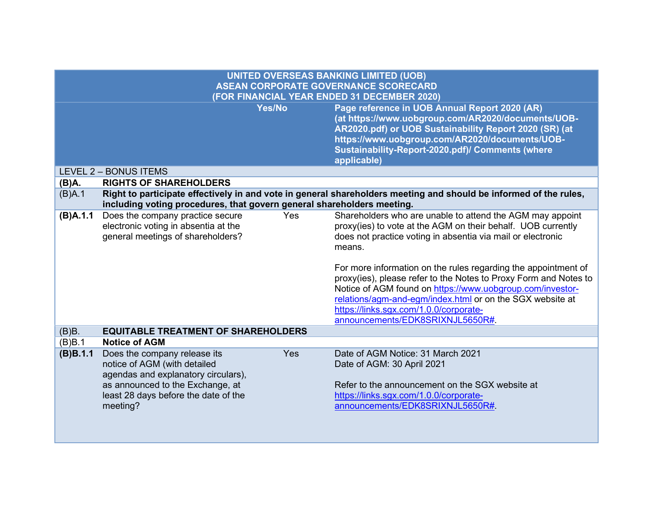|          | <b>UNITED OVERSEAS BANKING LIMITED (UOB)</b><br><b>ASEAN CORPORATE GOVERNANCE SCORECARD</b><br>(FOR FINANCIAL YEAR ENDED 31 DECEMBER 2020)                                                  |        |                                                                                                                                                                                                                                                                                                                                                                                                                                                                                                                                                  |  |
|----------|---------------------------------------------------------------------------------------------------------------------------------------------------------------------------------------------|--------|--------------------------------------------------------------------------------------------------------------------------------------------------------------------------------------------------------------------------------------------------------------------------------------------------------------------------------------------------------------------------------------------------------------------------------------------------------------------------------------------------------------------------------------------------|--|
|          |                                                                                                                                                                                             | Yes/No | Page reference in UOB Annual Report 2020 (AR)<br>(at https://www.uobgroup.com/AR2020/documents/UOB-<br>AR2020.pdf) or UOB Sustainability Report 2020 (SR) (at<br>https://www.uobgroup.com/AR2020/documents/UOB-<br>Sustainability-Report-2020.pdf)/ Comments (where<br>applicable)                                                                                                                                                                                                                                                               |  |
|          | LEVEL 2 - BONUS ITEMS                                                                                                                                                                       |        |                                                                                                                                                                                                                                                                                                                                                                                                                                                                                                                                                  |  |
| $(B)$ A. | <b>RIGHTS OF SHAREHOLDERS</b>                                                                                                                                                               |        |                                                                                                                                                                                                                                                                                                                                                                                                                                                                                                                                                  |  |
| (B)A.1   | including voting procedures, that govern general shareholders meeting.                                                                                                                      |        | Right to participate effectively in and vote in general shareholders meeting and should be informed of the rules,                                                                                                                                                                                                                                                                                                                                                                                                                                |  |
| (B)A.1.1 | Does the company practice secure<br>electronic voting in absentia at the<br>general meetings of shareholders?                                                                               | Yes    | Shareholders who are unable to attend the AGM may appoint<br>proxy(ies) to vote at the AGM on their behalf. UOB currently<br>does not practice voting in absentia via mail or electronic<br>means.<br>For more information on the rules regarding the appointment of<br>proxy(ies), please refer to the Notes to Proxy Form and Notes to<br>Notice of AGM found on https://www.uobgroup.com/investor-<br>relations/agm-and-egm/index.html or on the SGX website at<br>https://links.sgx.com/1.0.0/corporate-<br>announcements/EDK8SRIXNJL5650R#. |  |
| (B)B.    | <b>EQUITABLE TREATMENT OF SHAREHOLDERS</b>                                                                                                                                                  |        |                                                                                                                                                                                                                                                                                                                                                                                                                                                                                                                                                  |  |
| (B)B.1   | <b>Notice of AGM</b>                                                                                                                                                                        |        |                                                                                                                                                                                                                                                                                                                                                                                                                                                                                                                                                  |  |
| (B)B.1.1 | Does the company release its<br>notice of AGM (with detailed<br>agendas and explanatory circulars),<br>as announced to the Exchange, at<br>least 28 days before the date of the<br>meeting? | Yes    | Date of AGM Notice: 31 March 2021<br>Date of AGM: 30 April 2021<br>Refer to the announcement on the SGX website at<br>https://links.sgx.com/1.0.0/corporate-<br>announcements/EDK8SRIXNJL5650R#                                                                                                                                                                                                                                                                                                                                                  |  |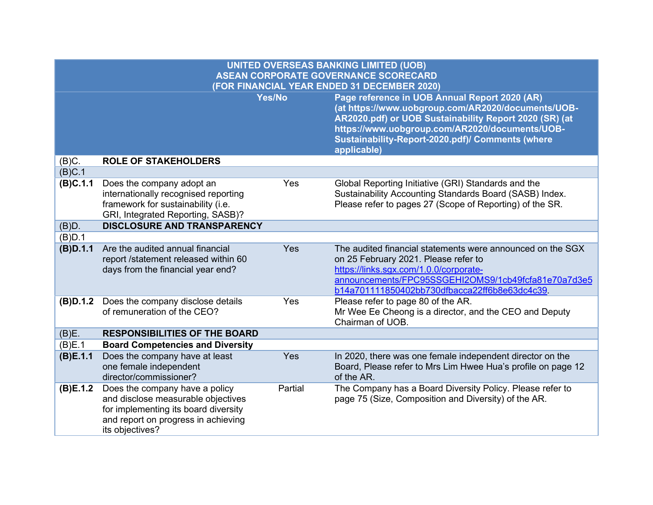|          | <b>UNITED OVERSEAS BANKING LIMITED (UOB)</b><br><b>ASEAN CORPORATE GOVERNANCE SCORECARD</b><br>(FOR FINANCIAL YEAR ENDED 31 DECEMBER 2020)                             |         |                                                                                                                                                                                                                                                                                    |  |
|----------|------------------------------------------------------------------------------------------------------------------------------------------------------------------------|---------|------------------------------------------------------------------------------------------------------------------------------------------------------------------------------------------------------------------------------------------------------------------------------------|--|
|          |                                                                                                                                                                        | Yes/No  | Page reference in UOB Annual Report 2020 (AR)<br>(at https://www.uobgroup.com/AR2020/documents/UOB-<br>AR2020.pdf) or UOB Sustainability Report 2020 (SR) (at<br>https://www.uobgroup.com/AR2020/documents/UOB-<br>Sustainability-Report-2020.pdf)/ Comments (where<br>applicable) |  |
| (B)C.    | <b>ROLE OF STAKEHOLDERS</b>                                                                                                                                            |         |                                                                                                                                                                                                                                                                                    |  |
| (B)C.1   |                                                                                                                                                                        |         |                                                                                                                                                                                                                                                                                    |  |
| (B)C.1.1 | Does the company adopt an<br>internationally recognised reporting<br>framework for sustainability (i.e.<br>GRI, Integrated Reporting, SASB)?                           | Yes     | Global Reporting Initiative (GRI) Standards and the<br>Sustainability Accounting Standards Board (SASB) Index.<br>Please refer to pages 27 (Scope of Reporting) of the SR.                                                                                                         |  |
| (B)D.    | <b>DISCLOSURE AND TRANSPARENCY</b>                                                                                                                                     |         |                                                                                                                                                                                                                                                                                    |  |
| (B)D.1   |                                                                                                                                                                        |         |                                                                                                                                                                                                                                                                                    |  |
| (B)D.1.1 | Are the audited annual financial<br>report /statement released within 60<br>days from the financial year end?                                                          | Yes     | The audited financial statements were announced on the SGX<br>on 25 February 2021. Please refer to<br>https://links.sgx.com/1.0.0/corporate-<br>announcements/FPC95SSGEHI2OMS9/1cb49fcfa81e70a7d3e5<br>b14a701111850402bb730dfbacca22ff6b8e63dc4c39.                               |  |
| (B)D.1.2 | Does the company disclose details<br>of remuneration of the CEO?                                                                                                       | Yes     | Please refer to page 80 of the AR.<br>Mr Wee Ee Cheong is a director, and the CEO and Deputy<br>Chairman of UOB.                                                                                                                                                                   |  |
| (B)E.    | <b>RESPONSIBILITIES OF THE BOARD</b>                                                                                                                                   |         |                                                                                                                                                                                                                                                                                    |  |
| (B)E.1   | <b>Board Competencies and Diversity</b>                                                                                                                                |         |                                                                                                                                                                                                                                                                                    |  |
| (B)E.1.1 | Does the company have at least<br>one female independent<br>director/commissioner?                                                                                     | Yes     | In 2020, there was one female independent director on the<br>Board, Please refer to Mrs Lim Hwee Hua's profile on page 12<br>of the AR.                                                                                                                                            |  |
| (B)E.1.2 | Does the company have a policy<br>and disclose measurable objectives<br>for implementing its board diversity<br>and report on progress in achieving<br>its objectives? | Partial | The Company has a Board Diversity Policy. Please refer to<br>page 75 (Size, Composition and Diversity) of the AR.                                                                                                                                                                  |  |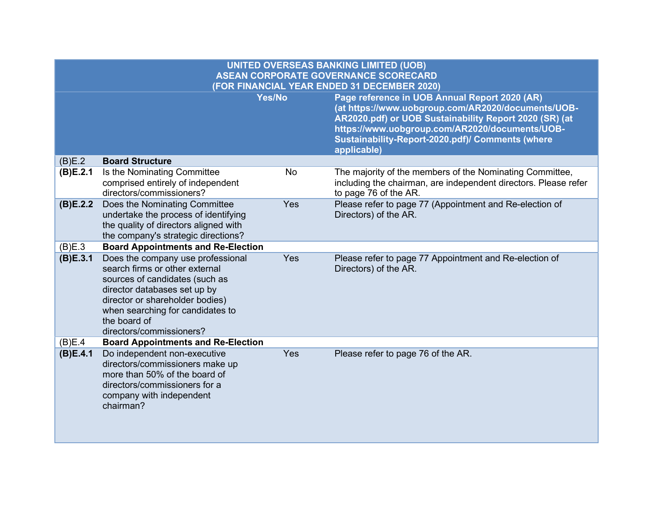|          | <b>UNITED OVERSEAS BANKING LIMITED (UOB)</b><br><b>ASEAN CORPORATE GOVERNANCE SCORECARD</b><br>(FOR FINANCIAL YEAR ENDED 31 DECEMBER 2020)                                                                                                               |     |                                                                                                                                                                                                                                                                                    |  |
|----------|----------------------------------------------------------------------------------------------------------------------------------------------------------------------------------------------------------------------------------------------------------|-----|------------------------------------------------------------------------------------------------------------------------------------------------------------------------------------------------------------------------------------------------------------------------------------|--|
|          | Yes/No                                                                                                                                                                                                                                                   |     | Page reference in UOB Annual Report 2020 (AR)<br>(at https://www.uobgroup.com/AR2020/documents/UOB-<br>AR2020.pdf) or UOB Sustainability Report 2020 (SR) (at<br>https://www.uobgroup.com/AR2020/documents/UOB-<br>Sustainability-Report-2020.pdf)/ Comments (where<br>applicable) |  |
| (B)E.2   | <b>Board Structure</b>                                                                                                                                                                                                                                   |     |                                                                                                                                                                                                                                                                                    |  |
| (B)E.2.1 | Is the Nominating Committee<br>comprised entirely of independent<br>directors/commissioners?                                                                                                                                                             | No  | The majority of the members of the Nominating Committee,<br>including the chairman, are independent directors. Please refer<br>to page 76 of the AR.                                                                                                                               |  |
| (B)E.2.2 | Does the Nominating Committee<br>undertake the process of identifying<br>the quality of directors aligned with<br>the company's strategic directions?                                                                                                    | Yes | Please refer to page 77 (Appointment and Re-election of<br>Directors) of the AR.                                                                                                                                                                                                   |  |
| (B)E.3   | <b>Board Appointments and Re-Election</b>                                                                                                                                                                                                                |     |                                                                                                                                                                                                                                                                                    |  |
| (B)E.3.1 | Does the company use professional<br>search firms or other external<br>sources of candidates (such as<br>director databases set up by<br>director or shareholder bodies)<br>when searching for candidates to<br>the board of<br>directors/commissioners? | Yes | Please refer to page 77 Appointment and Re-election of<br>Directors) of the AR.                                                                                                                                                                                                    |  |
| (B)E.4   | <b>Board Appointments and Re-Election</b>                                                                                                                                                                                                                |     |                                                                                                                                                                                                                                                                                    |  |
| (B)E.4.1 | Do independent non-executive<br>directors/commissioners make up<br>more than 50% of the board of<br>directors/commissioners for a<br>company with independent<br>chairman?                                                                               | Yes | Please refer to page 76 of the AR.                                                                                                                                                                                                                                                 |  |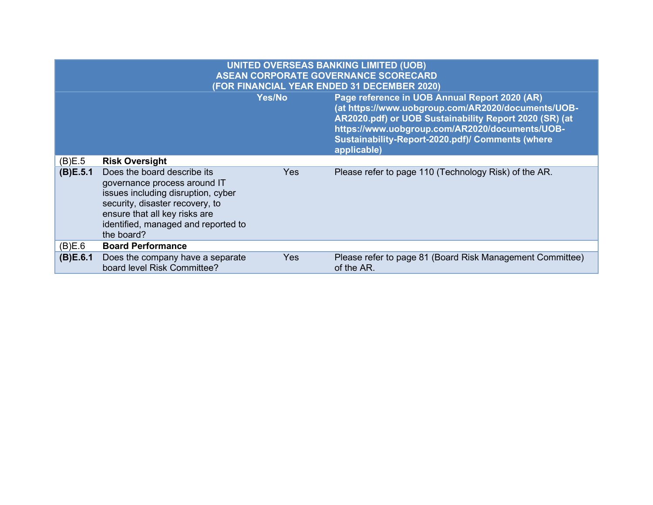| <b>UNITED OVERSEAS BANKING LIMITED (UOB)</b><br><b>ASEAN CORPORATE GOVERNANCE SCORECARD</b><br>(FOR FINANCIAL YEAR ENDED 31 DECEMBER 2020)<br>Page reference in UOB Annual Report 2020 (AR)<br>Yes/No<br>(at https://www.uobgroup.com/AR2020/documents/UOB-<br>AR2020.pdf) or UOB Sustainability Report 2020 (SR) (at<br>https://www.uobgroup.com/AR2020/documents/UOB-<br><b>Sustainability-Report-2020.pdf)/ Comments (where</b><br>applicable) |                                                                                                                                                                                                                            |            |                                                                         |  |
|---------------------------------------------------------------------------------------------------------------------------------------------------------------------------------------------------------------------------------------------------------------------------------------------------------------------------------------------------------------------------------------------------------------------------------------------------|----------------------------------------------------------------------------------------------------------------------------------------------------------------------------------------------------------------------------|------------|-------------------------------------------------------------------------|--|
| (B)E.5                                                                                                                                                                                                                                                                                                                                                                                                                                            | <b>Risk Oversight</b>                                                                                                                                                                                                      |            |                                                                         |  |
| (B)E.5.1                                                                                                                                                                                                                                                                                                                                                                                                                                          | Does the board describe its<br>governance process around IT<br>issues including disruption, cyber<br>security, disaster recovery, to<br>ensure that all key risks are<br>identified, managed and reported to<br>the board? | <b>Yes</b> | Please refer to page 110 (Technology Risk) of the AR.                   |  |
| (B)E.6                                                                                                                                                                                                                                                                                                                                                                                                                                            | <b>Board Performance</b>                                                                                                                                                                                                   |            |                                                                         |  |
| (B)E.6.1                                                                                                                                                                                                                                                                                                                                                                                                                                          | Does the company have a separate<br>board level Risk Committee?                                                                                                                                                            | <b>Yes</b> | Please refer to page 81 (Board Risk Management Committee)<br>of the AR. |  |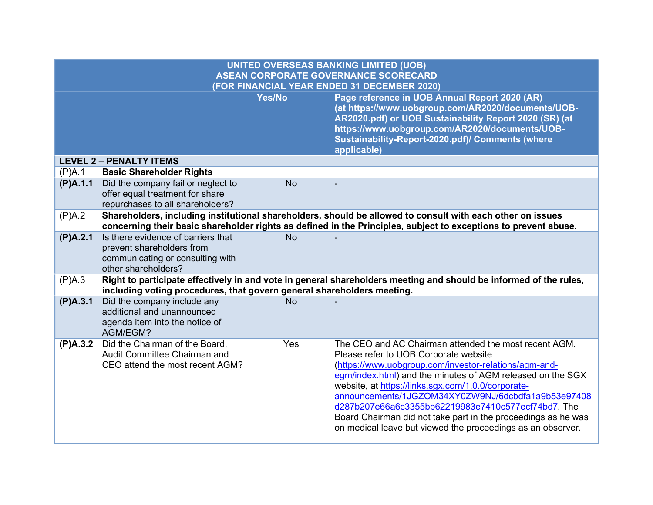|          | <b>UNITED OVERSEAS BANKING LIMITED (UOB)</b><br><b>ASEAN CORPORATE GOVERNANCE SCORECARD</b><br>(FOR FINANCIAL YEAR ENDED 31 DECEMBER 2020) |           |                                                                                                                                                                                                                                                                                                                                                                                                                                                                                                                         |  |
|----------|--------------------------------------------------------------------------------------------------------------------------------------------|-----------|-------------------------------------------------------------------------------------------------------------------------------------------------------------------------------------------------------------------------------------------------------------------------------------------------------------------------------------------------------------------------------------------------------------------------------------------------------------------------------------------------------------------------|--|
|          |                                                                                                                                            | Yes/No    | Page reference in UOB Annual Report 2020 (AR)<br>(at https://www.uobgroup.com/AR2020/documents/UOB-<br>AR2020.pdf) or UOB Sustainability Report 2020 (SR) (at<br>https://www.uobgroup.com/AR2020/documents/UOB-<br>Sustainability-Report-2020.pdf)/ Comments (where<br>applicable)                                                                                                                                                                                                                                      |  |
|          | <b>LEVEL 2 - PENALTY ITEMS</b>                                                                                                             |           |                                                                                                                                                                                                                                                                                                                                                                                                                                                                                                                         |  |
| (P)A.1   | <b>Basic Shareholder Rights</b>                                                                                                            |           |                                                                                                                                                                                                                                                                                                                                                                                                                                                                                                                         |  |
| (P)A.1.1 | Did the company fail or neglect to<br>offer equal treatment for share<br>repurchases to all shareholders?                                  | <b>No</b> |                                                                                                                                                                                                                                                                                                                                                                                                                                                                                                                         |  |
| (P)A.2   |                                                                                                                                            |           | Shareholders, including institutional shareholders, should be allowed to consult with each other on issues<br>concerning their basic shareholder rights as defined in the Principles, subject to exceptions to prevent abuse.                                                                                                                                                                                                                                                                                           |  |
| (P)A.2.1 | Is there evidence of barriers that<br>prevent shareholders from<br>communicating or consulting with<br>other shareholders?                 | <b>No</b> |                                                                                                                                                                                                                                                                                                                                                                                                                                                                                                                         |  |
| (P)A.3   | including voting procedures, that govern general shareholders meeting.                                                                     |           | Right to participate effectively in and vote in general shareholders meeting and should be informed of the rules,                                                                                                                                                                                                                                                                                                                                                                                                       |  |
| (P)A.3.1 | Did the company include any<br>additional and unannounced<br>agenda item into the notice of<br>AGM/EGM?                                    | <b>No</b> |                                                                                                                                                                                                                                                                                                                                                                                                                                                                                                                         |  |
| (P)A.3.2 | Did the Chairman of the Board,<br>Audit Committee Chairman and<br>CEO attend the most recent AGM?                                          | Yes       | The CEO and AC Chairman attended the most recent AGM.<br>Please refer to UOB Corporate website<br>(https://www.uobgroup.com/investor-relations/agm-and-<br>egm/index.html) and the minutes of AGM released on the SGX<br>website, at https://links.sgx.com/1.0.0/corporate-<br>announcements/1JGZOM34XY0ZW9NJ/6dcbdfa1a9b53e97408<br>d287b207e66a6c3355bb62219983e7410c577ecf74bd7. The<br>Board Chairman did not take part in the proceedings as he was<br>on medical leave but viewed the proceedings as an observer. |  |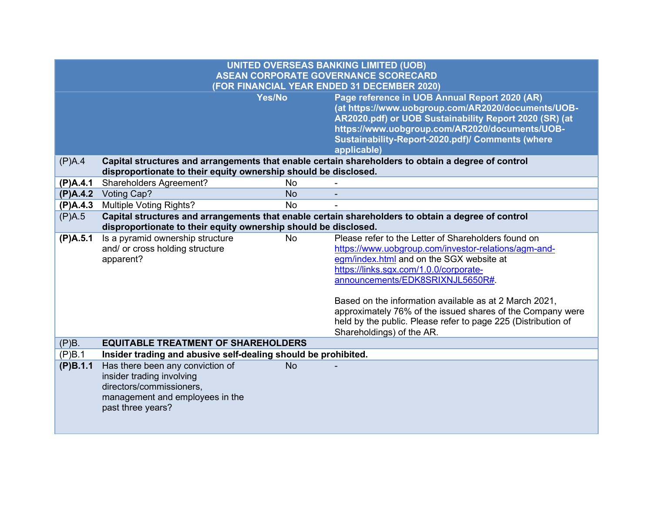|          | <b>UNITED OVERSEAS BANKING LIMITED (UOB)</b>                                                       |           |                                                                                                                                                                                                                                                                                    |  |  |
|----------|----------------------------------------------------------------------------------------------------|-----------|------------------------------------------------------------------------------------------------------------------------------------------------------------------------------------------------------------------------------------------------------------------------------------|--|--|
|          | <b>ASEAN CORPORATE GOVERNANCE SCORECARD</b>                                                        |           |                                                                                                                                                                                                                                                                                    |  |  |
|          | (FOR FINANCIAL YEAR ENDED 31 DECEMBER 2020)                                                        |           |                                                                                                                                                                                                                                                                                    |  |  |
|          |                                                                                                    | Yes/No    | Page reference in UOB Annual Report 2020 (AR)<br>(at https://www.uobgroup.com/AR2020/documents/UOB-<br>AR2020.pdf) or UOB Sustainability Report 2020 (SR) (at<br>https://www.uobgroup.com/AR2020/documents/UOB-<br>Sustainability-Report-2020.pdf)/ Comments (where<br>applicable) |  |  |
| (P)A.4   | disproportionate to their equity ownership should be disclosed.                                    |           | Capital structures and arrangements that enable certain shareholders to obtain a degree of control                                                                                                                                                                                 |  |  |
| (P)A.4.1 | Shareholders Agreement?                                                                            | <b>No</b> |                                                                                                                                                                                                                                                                                    |  |  |
| (P)A.4.2 | <b>Voting Cap?</b>                                                                                 | <b>No</b> |                                                                                                                                                                                                                                                                                    |  |  |
| (P)A.4.3 | <b>Multiple Voting Rights?</b>                                                                     | <b>No</b> |                                                                                                                                                                                                                                                                                    |  |  |
| (P)A.5   | Capital structures and arrangements that enable certain shareholders to obtain a degree of control |           |                                                                                                                                                                                                                                                                                    |  |  |
|          | disproportionate to their equity ownership should be disclosed.                                    |           |                                                                                                                                                                                                                                                                                    |  |  |
| (P)A.5.1 | Is a pyramid ownership structure<br>and/ or cross holding structure                                | <b>No</b> | Please refer to the Letter of Shareholders found on<br>https://www.uobgroup.com/investor-relations/agm-and-                                                                                                                                                                        |  |  |
|          | apparent?                                                                                          |           | egm/index.html and on the SGX website at                                                                                                                                                                                                                                           |  |  |
|          |                                                                                                    |           | https://links.sgx.com/1.0.0/corporate-                                                                                                                                                                                                                                             |  |  |
|          |                                                                                                    |           | announcements/EDK8SRIXNJL5650R#                                                                                                                                                                                                                                                    |  |  |
|          |                                                                                                    |           | Based on the information available as at 2 March 2021,<br>approximately 76% of the issued shares of the Company were                                                                                                                                                               |  |  |
|          |                                                                                                    |           | held by the public. Please refer to page 225 (Distribution of<br>Shareholdings) of the AR.                                                                                                                                                                                         |  |  |
| (P)B.    | <b>EQUITABLE TREATMENT OF SHAREHOLDERS</b>                                                         |           |                                                                                                                                                                                                                                                                                    |  |  |
| (P)B.1   | Insider trading and abusive self-dealing should be prohibited.                                     |           |                                                                                                                                                                                                                                                                                    |  |  |
| (P)B.1.1 | Has there been any conviction of<br>insider trading involving                                      | <b>No</b> |                                                                                                                                                                                                                                                                                    |  |  |
|          | directors/commissioners.                                                                           |           |                                                                                                                                                                                                                                                                                    |  |  |
|          | management and employees in the                                                                    |           |                                                                                                                                                                                                                                                                                    |  |  |
|          | past three years?                                                                                  |           |                                                                                                                                                                                                                                                                                    |  |  |
|          |                                                                                                    |           |                                                                                                                                                                                                                                                                                    |  |  |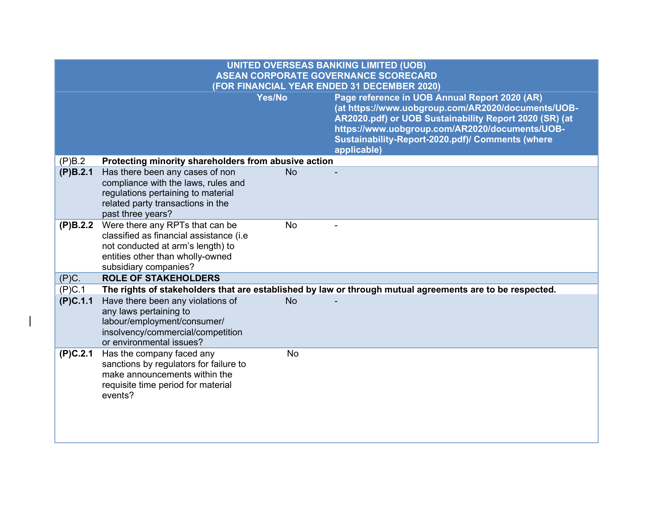| <b>UNITED OVERSEAS BANKING LIMITED (UOB)</b> |                                                                                                                                                                              |           |                                                                                                                                                                                                                                                                                    |  |  |
|----------------------------------------------|------------------------------------------------------------------------------------------------------------------------------------------------------------------------------|-----------|------------------------------------------------------------------------------------------------------------------------------------------------------------------------------------------------------------------------------------------------------------------------------------|--|--|
| <b>ASEAN CORPORATE GOVERNANCE SCORECARD</b>  |                                                                                                                                                                              |           |                                                                                                                                                                                                                                                                                    |  |  |
|                                              | (FOR FINANCIAL YEAR ENDED 31 DECEMBER 2020)                                                                                                                                  |           |                                                                                                                                                                                                                                                                                    |  |  |
|                                              |                                                                                                                                                                              | Yes/No    | Page reference in UOB Annual Report 2020 (AR)<br>(at https://www.uobgroup.com/AR2020/documents/UOB-<br>AR2020.pdf) or UOB Sustainability Report 2020 (SR) (at<br>https://www.uobgroup.com/AR2020/documents/UOB-<br>Sustainability-Report-2020.pdf)/ Comments (where<br>applicable) |  |  |
| (P)B.2                                       | Protecting minority shareholders from abusive action                                                                                                                         |           |                                                                                                                                                                                                                                                                                    |  |  |
| (P)B.2.1                                     | Has there been any cases of non<br>compliance with the laws, rules and<br>regulations pertaining to material<br>related party transactions in the<br>past three years?       | <b>No</b> |                                                                                                                                                                                                                                                                                    |  |  |
| (P)B.2.2                                     | Were there any RPTs that can be<br>classified as financial assistance (i.e<br>not conducted at arm's length) to<br>entities other than wholly-owned<br>subsidiary companies? | <b>No</b> |                                                                                                                                                                                                                                                                                    |  |  |
| (P)C.                                        | <b>ROLE OF STAKEHOLDERS</b>                                                                                                                                                  |           |                                                                                                                                                                                                                                                                                    |  |  |
| (P)C.1                                       |                                                                                                                                                                              |           | The rights of stakeholders that are established by law or through mutual agreements are to be respected.                                                                                                                                                                           |  |  |
| (P)C.1.1                                     | Have there been any violations of<br>any laws pertaining to<br>labour/employment/consumer/<br>insolvency/commercial/competition<br>or environmental issues?                  | <b>No</b> |                                                                                                                                                                                                                                                                                    |  |  |
| (P)C.2.1                                     | Has the company faced any<br>sanctions by regulators for failure to<br>make announcements within the<br>requisite time period for material<br>events?                        | <b>No</b> |                                                                                                                                                                                                                                                                                    |  |  |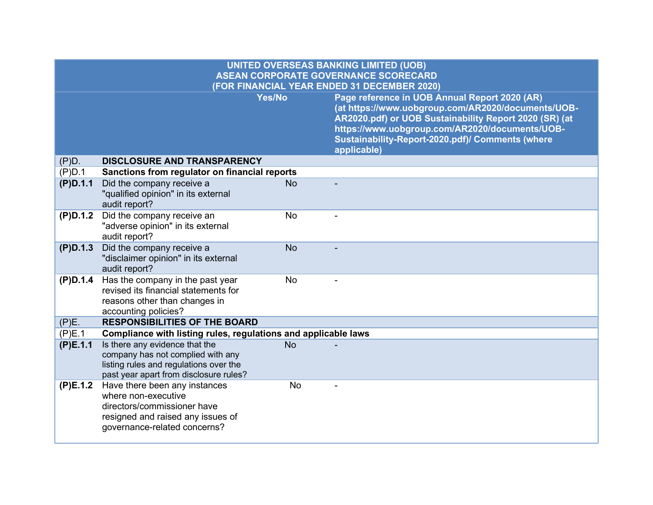|          | <b>UNITED OVERSEAS BANKING LIMITED (UOB)</b>                                                                                                             |           |                                                                                                                                                                                                                                   |  |  |  |
|----------|----------------------------------------------------------------------------------------------------------------------------------------------------------|-----------|-----------------------------------------------------------------------------------------------------------------------------------------------------------------------------------------------------------------------------------|--|--|--|
|          | <b>ASEAN CORPORATE GOVERNANCE SCORECARD</b>                                                                                                              |           |                                                                                                                                                                                                                                   |  |  |  |
|          | (FOR FINANCIAL YEAR ENDED 31 DECEMBER 2020)<br>Yes/No<br>Page reference in UOB Annual Report 2020 (AR)                                                   |           |                                                                                                                                                                                                                                   |  |  |  |
|          |                                                                                                                                                          |           | (at https://www.uobgroup.com/AR2020/documents/UOB-<br>AR2020.pdf) or UOB Sustainability Report 2020 (SR) (at<br>https://www.uobgroup.com/AR2020/documents/UOB-<br>Sustainability-Report-2020.pdf)/ Comments (where<br>applicable) |  |  |  |
| (P)D.    | <b>DISCLOSURE AND TRANSPARENCY</b>                                                                                                                       |           |                                                                                                                                                                                                                                   |  |  |  |
| (P)D.1   | Sanctions from regulator on financial reports                                                                                                            |           |                                                                                                                                                                                                                                   |  |  |  |
| (P)D.1.1 | Did the company receive a<br>"qualified opinion" in its external<br>audit report?                                                                        | <b>No</b> |                                                                                                                                                                                                                                   |  |  |  |
| (P)D.1.2 | Did the company receive an<br>"adverse opinion" in its external<br>audit report?                                                                         | <b>No</b> |                                                                                                                                                                                                                                   |  |  |  |
| (P)D.1.3 | Did the company receive a<br>"disclaimer opinion" in its external<br>audit report?                                                                       | <b>No</b> |                                                                                                                                                                                                                                   |  |  |  |
| (P)D.1.4 | Has the company in the past year<br>revised its financial statements for<br>reasons other than changes in<br>accounting policies?                        | <b>No</b> |                                                                                                                                                                                                                                   |  |  |  |
| (P)E.    | <b>RESPONSIBILITIES OF THE BOARD</b>                                                                                                                     |           |                                                                                                                                                                                                                                   |  |  |  |
| (P)E.1   | Compliance with listing rules, regulations and applicable laws                                                                                           |           |                                                                                                                                                                                                                                   |  |  |  |
| (P)E.1.1 | Is there any evidence that the<br>company has not complied with any<br>listing rules and regulations over the<br>past year apart from disclosure rules?  | <b>No</b> |                                                                                                                                                                                                                                   |  |  |  |
| (P)E.1.2 | Have there been any instances<br>where non-executive<br>directors/commissioner have<br>resigned and raised any issues of<br>governance-related concerns? | No        |                                                                                                                                                                                                                                   |  |  |  |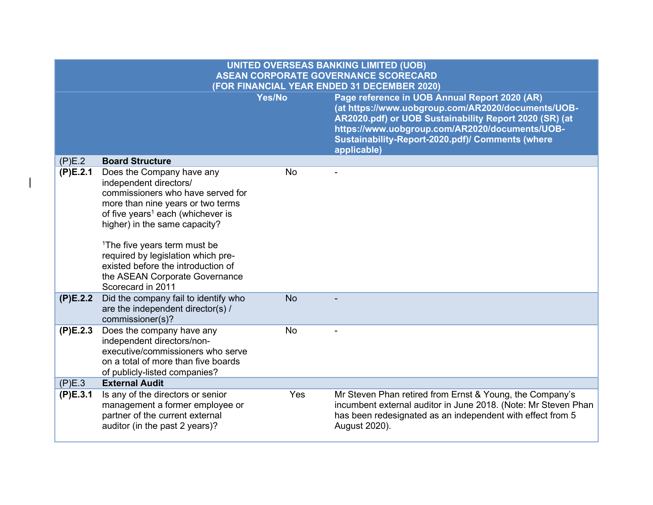| <b>UNITED OVERSEAS BANKING LIMITED (UOB)</b><br><b>ASEAN CORPORATE GOVERNANCE SCORECARD</b><br>(FOR FINANCIAL YEAR ENDED 31 DECEMBER 2020) |                                                                                                                                                                                                                                                                                                                                                                                                |           |                                                                                                                                                                                                                                                                                    |  |
|--------------------------------------------------------------------------------------------------------------------------------------------|------------------------------------------------------------------------------------------------------------------------------------------------------------------------------------------------------------------------------------------------------------------------------------------------------------------------------------------------------------------------------------------------|-----------|------------------------------------------------------------------------------------------------------------------------------------------------------------------------------------------------------------------------------------------------------------------------------------|--|
|                                                                                                                                            |                                                                                                                                                                                                                                                                                                                                                                                                | Yes/No    | Page reference in UOB Annual Report 2020 (AR)<br>(at https://www.uobgroup.com/AR2020/documents/UOB-<br>AR2020.pdf) or UOB Sustainability Report 2020 (SR) (at<br>https://www.uobgroup.com/AR2020/documents/UOB-<br>Sustainability-Report-2020.pdf)/ Comments (where<br>applicable) |  |
| (P)E.2                                                                                                                                     | <b>Board Structure</b>                                                                                                                                                                                                                                                                                                                                                                         |           |                                                                                                                                                                                                                                                                                    |  |
| (P)E.2.1                                                                                                                                   | Does the Company have any<br>independent directors/<br>commissioners who have served for<br>more than nine years or two terms<br>of five years <sup>1</sup> each (whichever is<br>higher) in the same capacity?<br><sup>1</sup> The five years term must be<br>required by legislation which pre-<br>existed before the introduction of<br>the ASEAN Corporate Governance<br>Scorecard in 2011 | <b>No</b> |                                                                                                                                                                                                                                                                                    |  |
| (P)E.2.2                                                                                                                                   | Did the company fail to identify who<br>are the independent director(s) /<br>commissioner(s)?                                                                                                                                                                                                                                                                                                  | <b>No</b> |                                                                                                                                                                                                                                                                                    |  |
| (P)E.2.3                                                                                                                                   | Does the company have any<br>independent directors/non-<br>executive/commissioners who serve<br>on a total of more than five boards<br>of publicly-listed companies?                                                                                                                                                                                                                           | <b>No</b> |                                                                                                                                                                                                                                                                                    |  |
| (P)E.3                                                                                                                                     | <b>External Audit</b>                                                                                                                                                                                                                                                                                                                                                                          |           |                                                                                                                                                                                                                                                                                    |  |
| (P)E.3.1                                                                                                                                   | Is any of the directors or senior<br>management a former employee or<br>partner of the current external<br>auditor (in the past 2 years)?                                                                                                                                                                                                                                                      | Yes       | Mr Steven Phan retired from Ernst & Young, the Company's<br>incumbent external auditor in June 2018. (Note: Mr Steven Phan<br>has been redesignated as an independent with effect from 5<br>August 2020).                                                                          |  |